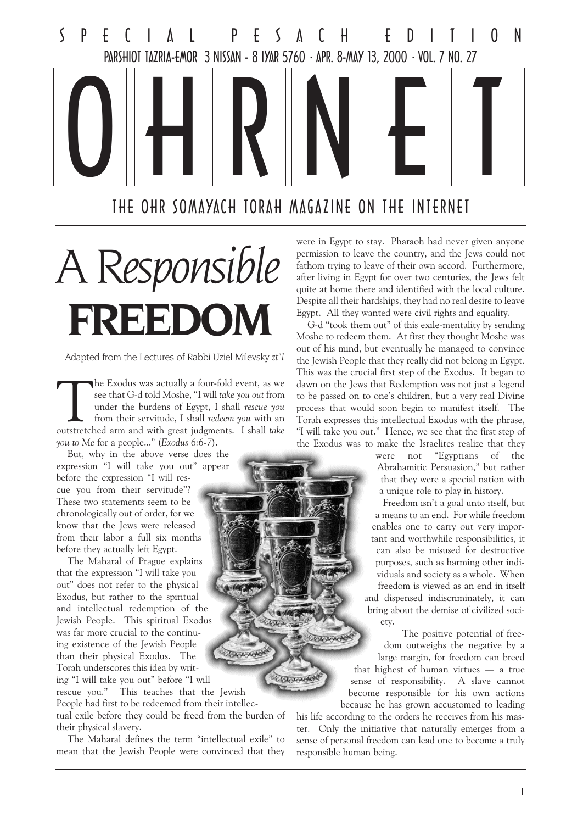

THE OHR SOMAYACH TORAH MAGAZINE ON THE INTERNET

**COLL** 

**COLLAN** 

**COLANDOR** 

COUNTY

# A Responsible FREEDOM

Adapted from the Lectures of Rabbi Uziel Milevsky zt"l

The Exodus was actually a four-fold event, as we see that G-d told Moshe, "I will take you out from under the burdens of Egypt, I shall rescue you from their servitude, I shall redeem you with an outstretched arm and with see that G-d told Moshe, "I will take you out from under the burdens of Egypt, I shall rescue you from their servitude, I shall redeem you with an outstretched arm and with great judgments. I shall take you to Me for a people..." (Exodus 6:6-7).

But, why in the above verse does the expression "I will take you out" appear before the expression "I will rescue you from their servitude"? These two statements seem to be chronologically out of order, for we know that the Jews were released from their labor a full six months before they actually left Egypt.

The Maharal of Prague explains that the expression "I will take you out" does not refer to the physical Exodus, but rather to the spiritual and intellectual redemption of the Jewish People. This spiritual Exodus was far more crucial to the continuing existence of the Jewish People than their physical Exodus. The Torah underscores this idea by writing "I will take you out" before "I will rescue you." This teaches that the Jewish People had first to be redeemed from their intellec-

tual exile before they could be freed from the burden of their physical slavery.

The Maharal defines the term "intellectual exile" to mean that the Jewish People were convinced that they were in Egypt to stay. Pharaoh had never given anyone permission to leave the country, and the Jews could not fathom trying to leave of their own accord. Furthermore, after living in Egypt for over two centuries, the Jews felt quite at home there and identified with the local culture. Despite all their hardships, they had no real desire to leave Egypt. All they wanted were civil rights and equality.

G-d "took them out" of this exile-mentality by sending Moshe to redeem them. At first they thought Moshe was out of his mind, but eventually he managed to convince the Jewish People that they really did not belong in Egypt. This was the crucial first step of the Exodus. It began to dawn on the Jews that Redemption was not just a legend to be passed on to one's children, but a very real Divine process that would soon begin to manifest itself. The Torah expresses this intellectual Exodus with the phrase, "I will take you out." Hence, we see that the first step of the Exodus was to make the Israelites realize that they

> were not "Egyptians of the Abrahamitic Persuasion," but rather that they were a special nation with a unique role to play in history.

Freedom isn't a goal unto itself, but a means to an end. For while freedom enables one to carry out very important and worthwhile responsibilities, it can also be misused for destructive purposes, such as harming other individuals and society as a whole. When freedom is viewed as an end in itself and dispensed indiscriminately, it can bring about the demise of civilized society.

The positive potential of freedom outweighs the negative by a large margin, for freedom can breed that highest of human virtues  $-$  a true sense of responsibility. A slave cannot become responsible for his own actions because he has grown accustomed to leading

his life according to the orders he receives from his master. Only the initiative that naturally emerges from a sense of personal freedom can lead one to become a truly responsible human being.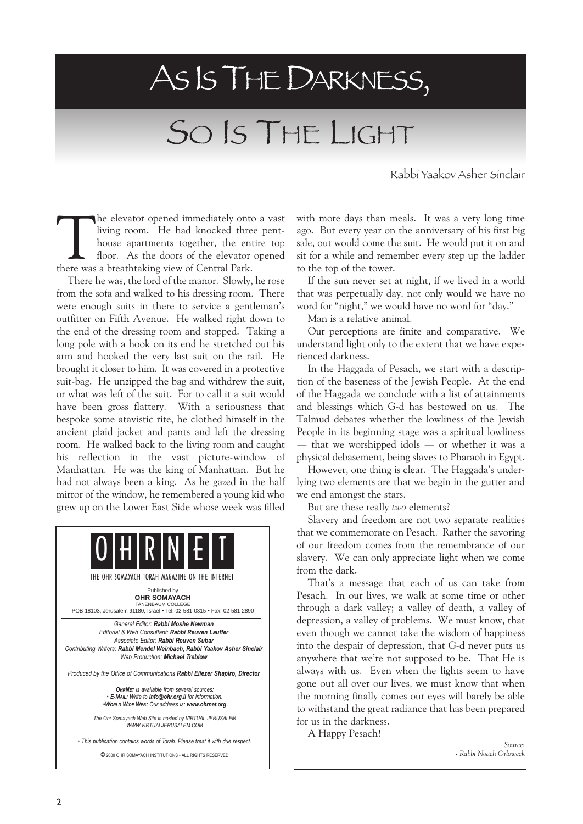# ASISTHEDARKNESS,

# SO IS THE LIGHT

Rabbi Yaakov Asher Sinclair

The elevator opened immediately onto a vast<br>living room. He had knocked three pent-<br>house apartments together, the entire top<br>floor. As the doors of the elevator opened<br>there was a breathtaking view of Central Park. living room. He had knocked three penthouse apartments together, the entire top floor. As the doors of the elevator opened there was a breathtaking view of Central Park.

There he was, the lord of the manor. Slowly, he rose from the sofa and walked to his dressing room. There were enough suits in there to service a gentleman's outfitter on Fifth Avenue. He walked right down to the end of the dressing room and stopped. Taking a long pole with a hook on its end he stretched out his arm and hooked the very last suit on the rail. He brought it closer to him. It was covered in a protective suit-bag. He unzipped the bag and withdrew the suit, or what was left of the suit. For to call it a suit would have been gross flattery. With a seriousness that bespoke some atavistic rite, he clothed himself in the ancient plaid jacket and pants and left the dressing room. He walked back to the living room and caught his reflection in the vast picture-window of Manhattan. He was the king of Manhattan. But he had not always been a king. As he gazed in the half mirror of the window, he remembered a young kid who grew up on the Lower East Side whose week was filled



This publication contains words of Torah. Please treat it with due respect.

© 2000 OHR SOMAYACH INSTITUTIONS - ALL RIGHTS RESERVED

with more days than meals. It was a very long time ago. But every year on the anniversary of his first big sale, out would come the suit. He would put it on and sit for a while and remember every step up the ladder to the top of the tower.

If the sun never set at night, if we lived in a world that was perpetually day, not only would we have no word for "night," we would have no word for "day."

Man is a relative animal.

Our perceptions are finite and comparative. We understand light only to the extent that we have experienced darkness.

In the Haggada of Pesach, we start with a description of the baseness of the Jewish People. At the end of the Haggada we conclude with a list of attainments and blessings which G-d has bestowed on us. The Talmud debates whether the lowliness of the Jewish People in its beginning stage was a spiritual lowliness  $-$  that we worshipped idols  $-$  or whether it was a physical debasement, being slaves to Pharaoh in Egypt.

However, one thing is clear. The Haggada's underlying two elements are that we begin in the gutter and we end amongst the stars.

But are these really two elements?

Slavery and freedom are not two separate realities that we commemorate on Pesach. Rather the savoring of our freedom comes from the remembrance of our slavery. We can only appreciate light when we come from the dark.

That's a message that each of us can take from Pesach. In our lives, we walk at some time or other through a dark valley; a valley of death, a valley of depression, a valley of problems. We must know, that even though we cannot take the wisdom of happiness into the despair of depression, that G-d never puts us anywhere that we're not supposed to be. That He is always with us. Even when the lights seem to have gone out all over our lives, we must know that when the morning finally comes our eyes will barely be able to withstand the great radiance that has been prepared for us in the darkness.

A Happy Pesach!

Source: Rabbi Noach Orloweck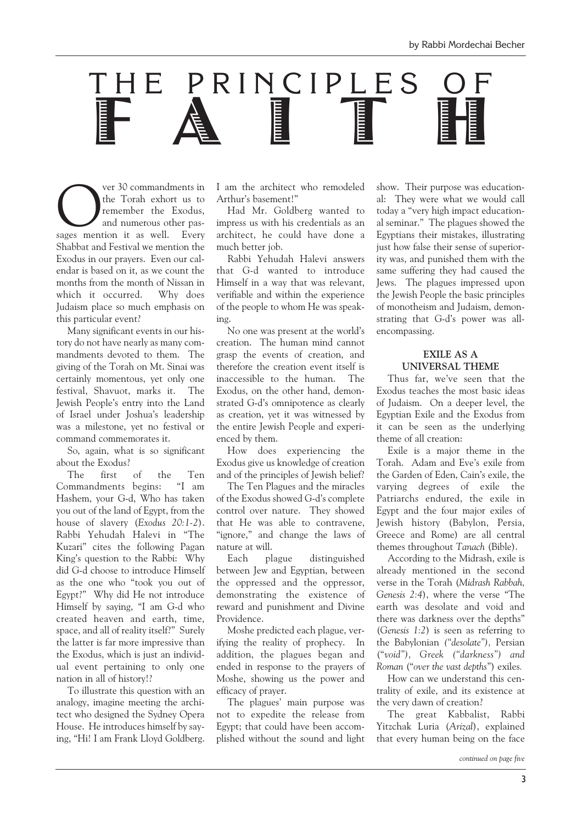

**COMMANDUARY SUPER COMMANDATE SUPER CONSUMING THE CONSUMING SUPER CONSUMING SUPER CONSUMER SUPER CONSUMER SUPER CONSUMER SUPER CONSUMER SUPER CONSUMER SUPER CONSUMER SUPER CONSUMER SUPER CONSUMER SUPER CONSUMER SUPER CONSU** the Torah exhort us to remember the Exodus, and numerous other pas-Shabbat and Festival we mention the Exodus in our prayers. Even our calendar is based on it, as we count the months from the month of Nissan in which it occurred. Why does Judaism place so much emphasis on this particular event?

Many significant events in our history do not have nearly as many commandments devoted to them. The giving of the Torah on Mt. Sinai was certainly momentous, yet only one festival, Shavuot, marks it. The Jewish People's entry into the Land of Israel under Joshua's leadership was a milestone, yet no festival or command commemorates it.

So, again, what is so significant about the Exodus?

The first of the Ten Commandments begins: "I am Hashem, your G-d, Who has taken you out of the land of Egypt, from the house of slavery (Exodus 20:1-2). Rabbi Yehudah Halevi in The Kuzari" cites the following Pagan King's question to the Rabbi: Why did G-d choose to introduce Himself as the one who "took you out of Egypt?" Why did He not introduce Himself by saying, "I am G-d who created heaven and earth, time, space, and all of reality itself?" Surely the latter is far more impressive than the Exodus, which is just an individual event pertaining to only one nation in all of history!?

To illustrate this question with an analogy, imagine meeting the architect who designed the Sydney Opera House. He introduces himself by saying, "Hi! I am Frank Lloyd Goldberg. I am the architect who remodeled Arthur's basement!"

Had Mr. Goldberg wanted to impress us with his credentials as an architect, he could have done a much better job.

Rabbi Yehudah Halevi answers that G-d wanted to introduce Himself in a way that was relevant, verifiable and within the experience of the people to whom He was speaking.

No one was present at the world's creation. The human mind cannot grasp the events of creation, and therefore the creation event itself is inaccessible to the human. The Exodus, on the other hand, demonstrated G-d's omnipotence as clearly as creation, yet it was witnessed by the entire Jewish People and experienced by them.

How does experiencing the Exodus give us knowledge of creation and of the principles of Jewish belief?

The Ten Plagues and the miracles of the Exodus showed G-d's complete control over nature. They showed that He was able to contravene, "ignore," and change the laws of nature at will.

Each plague distinguished between Jew and Egyptian, between the oppressed and the oppressor, demonstrating the existence of reward and punishment and Divine Providence.

Moshe predicted each plague, verifying the reality of prophecy. In addition, the plagues began and ended in response to the prayers of Moshe, showing us the power and efficacy of prayer.

The plagues' main purpose was not to expedite the release from Egypt; that could have been accomplished without the sound and light show. Their purpose was educational: They were what we would call today a "very high impact educational seminar." The plagues showed the Egyptians their mistakes, illustrating just how false their sense of superiority was, and punished them with the same suffering they had caused the Jews. The plagues impressed upon the Jewish People the basic principles of monotheism and Judaism, demonstrating that G-d's power was allencompassing.

### EXILE AS A UNIVERSAL THEME

Thus far, we've seen that the Exodus teaches the most basic ideas of Judaism. On a deeper level, the Egyptian Exile and the Exodus from it can be seen as the underlying theme of all creation:

Exile is a major theme in the Torah. Adam and Eve's exile from the Garden of Eden, Cain's exile, the varying degrees of exile the Patriarchs endured, the exile in Egypt and the four major exiles of Jewish history (Babylon, Persia, Greece and Rome) are all central themes throughout Tanach (Bible).

According to the Midrash, exile is already mentioned in the second verse in the Torah (Midrash Rabbah, Genesis 2:4), where the verse "The earth was desolate and void and there was darkness over the depths (Genesis 1:2) is seen as referring to the Babylonian ("desolate"), Persian ("void"), Greek ("darkness") and Roman ("over the vast depths") exiles.

How can we understand this centrality of exile, and its existence at the very dawn of creation?

The great Kabbalist, Rabbi Yitzchak Luria (Arizal), explained that every human being on the face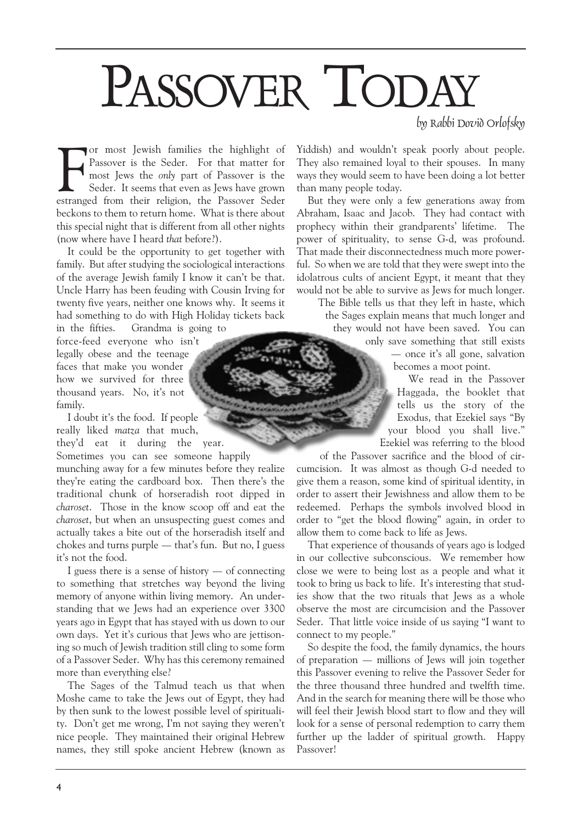# PASSOVER TODAY

by Rabbi Dovid Orlofsky

For most Jewish families the highlight of Passover is the Seder. For that matter for most Jews the *only* part of Passover is the Seder. It seems that even as Jews have grown estranged from their religion, the Passover Sed or most Jewish families the highlight of Passover is the Seder. For that matter for most Jews the only part of Passover is the Seder. It seems that even as Jews have grown beckons to them to return home. What is there about this special night that is different from all other nights (now where have I heard that before?).

It could be the opportunity to get together with family. But after studying the sociological interactions of the average Jewish family I know it can't be that. Uncle Harry has been feuding with Cousin Irving for twenty five years, neither one knows why. It seems it had something to do with High Holiday tickets back

in the fifties. Grandma is going to force-feed everyone who isn't legally obese and the teenage faces that make you wonder how we survived for three thousand years. No, it's not family.

I doubt it's the food. If people really liked matza that much, theyd eat it during the year.

Sometimes you can see someone happily munching away for a few minutes before they realize they're eating the cardboard box. Then there's the traditional chunk of horseradish root dipped in charoset. Those in the know scoop off and eat the charoset, but when an unsuspecting guest comes and actually takes a bite out of the horseradish itself and chokes and turns purple  $-$  that's fun. But no, I guess it's not the food.

I guess there is a sense of history  $-$  of connecting to something that stretches way beyond the living memory of anyone within living memory. An understanding that we Jews had an experience over 3300 years ago in Egypt that has stayed with us down to our own days. Yet it's curious that Jews who are jettisoning so much of Jewish tradition still cling to some form of a Passover Seder. Why has this ceremony remained more than everything else?

The Sages of the Talmud teach us that when Moshe came to take the Jews out of Egypt, they had by then sunk to the lowest possible level of spirituality. Don't get me wrong, I'm not saying they weren't nice people. They maintained their original Hebrew names, they still spoke ancient Hebrew (known as Yiddish) and wouldn't speak poorly about people. They also remained loyal to their spouses. In many ways they would seem to have been doing a lot better than many people today.

But they were only a few generations away from Abraham, Isaac and Jacob. They had contact with prophecy within their grandparents' lifetime. The power of spirituality, to sense G-d, was profound. That made their disconnectedness much more powerful. So when we are told that they were swept into the idolatrous cults of ancient Egypt, it meant that they would not be able to survive as Jews for much longer.

The Bible tells us that they left in haste, which the Sages explain means that much longer and they would not have been saved. You can

> only save something that still exists — once it's all gone, salvation becomes a moot point.

We read in the Passover Haggada, the booklet that tells us the story of the Exodus, that Ezekiel says "By your blood you shall live. Ezekiel was referring to the blood

of the Passover sacrifice and the blood of circumcision. It was almost as though G-d needed to give them a reason, some kind of spiritual identity, in order to assert their Jewishness and allow them to be redeemed. Perhaps the symbols involved blood in order to "get the blood flowing" again, in order to allow them to come back to life as Jews.

That experience of thousands of years ago is lodged in our collective subconscious. We remember how close we were to being lost as a people and what it took to bring us back to life. It's interesting that studies show that the two rituals that Jews as a whole observe the most are circumcision and the Passover Seder. That little voice inside of us saying "I want to connect to my people.

So despite the food, the family dynamics, the hours of preparation  $-$  millions of Jews will join together this Passover evening to relive the Passover Seder for the three thousand three hundred and twelfth time. And in the search for meaning there will be those who will feel their Jewish blood start to flow and they will look for a sense of personal redemption to carry them further up the ladder of spiritual growth. Happy Passover!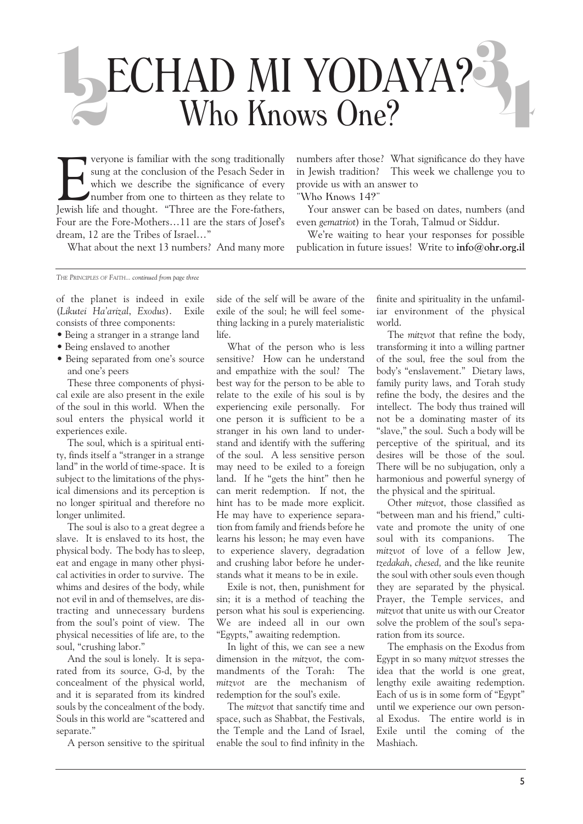# ECHAD MI YODAYA? ECHAD MI YODAYA? 1

Veryone is familiar with the song traditionally<br>sung at the conclusion of the Pesach Seder in<br>which we describe the significance of every<br>number from one to thirteen as they relate to<br>Jewish life and thought. "Three are th veryone is familiar with the song traditionally sung at the conclusion of the Pesach Seder in which we describe the significance of every number from one to thirteen as they relate to Four are the Fore-Mothers...11 are the stars of Josef's dream, 12 are the Tribes of Israel..."

What about the next 13 numbers? And many more

numbers after those? What significance do they have in Jewish tradition? This week we challenge you to provide us with an answer to

Who Knows 14?

Your answer can be based on dates, numbers (and even gematriot) in the Torah, Talmud or Siddur.

We're waiting to hear your responses for possible publication in future issues! Write to info@ohr.org.il

THE PRINCIPLES OF FAITH... continued from page three

of the planet is indeed in exile (Likutei Ha'arizal, Exodus). Exile consists of three components:

- Being a stranger in a strange land
- Being enslaved to another
- Being separated from one's source and one's peers

These three components of physical exile are also present in the exile of the soul in this world. When the soul enters the physical world it experiences exile.

The soul, which is a spiritual entity, finds itself a "stranger in a strange land" in the world of time-space. It is subject to the limitations of the physical dimensions and its perception is no longer spiritual and therefore no longer unlimited.

The soul is also to a great degree a slave. It is enslaved to its host, the physical body. The body has to sleep, eat and engage in many other physical activities in order to survive. The whims and desires of the body, while not evil in and of themselves, are distracting and unnecessary burdens from the soul's point of view. The physical necessities of life are, to the soul, "crushing labor."

And the soul is lonely. It is separated from its source, G-d, by the concealment of the physical world, and it is separated from its kindred souls by the concealment of the body. Souls in this world are "scattered and separate.

A person sensitive to the spiritual

side of the self will be aware of the exile of the soul; he will feel something lacking in a purely materialistic life.

What of the person who is less sensitive? How can he understand and empathize with the soul? The best way for the person to be able to relate to the exile of his soul is by experiencing exile personally. For one person it is sufficient to be a stranger in his own land to understand and identify with the suffering of the soul. A less sensitive person may need to be exiled to a foreign land. If he "gets the hint" then he can merit redemption. If not, the hint has to be made more explicit. He may have to experience separation from family and friends before he learns his lesson; he may even have to experience slavery, degradation and crushing labor before he understands what it means to be in exile.

Exile is not, then, punishment for sin; it is a method of teaching the person what his soul is experiencing. We are indeed all in our own Egypts, awaiting redemption.

In light of this, we can see a new dimension in the mitzvot, the commandments of the Torah: The mitzvot are the mechanism of redemption for the soul's exile.

The mitzvot that sanctify time and space, such as Shabbat, the Festivals, the Temple and the Land of Israel, enable the soul to find infinity in the

finite and spirituality in the unfamiliar environment of the physical world.

The mitzvot that refine the body, transforming it into a willing partner of the soul, free the soul from the body's "enslavement." Dietary laws, family purity laws, and Torah study refine the body, the desires and the intellect. The body thus trained will not be a dominating master of its "slave," the soul. Such a body will be perceptive of the spiritual, and its desires will be those of the soul. There will be no subjugation, only a harmonious and powerful synergy of the physical and the spiritual.

Other mitzvot, those classified as "between man and his friend," cultivate and promote the unity of one soul with its companions. The mitzvot of love of a fellow Jew, tzedakah, chesed, and the like reunite the soul with other souls even though they are separated by the physical. Prayer, the Temple services, and mitzvot that unite us with our Creator solve the problem of the soul's separation from its source.

The emphasis on the Exodus from Egypt in so many mitzvot stresses the idea that the world is one great, lengthy exile awaiting redemption. Each of us is in some form of "Egypt" until we experience our own personal Exodus. The entire world is in Exile until the coming of the Mashiach.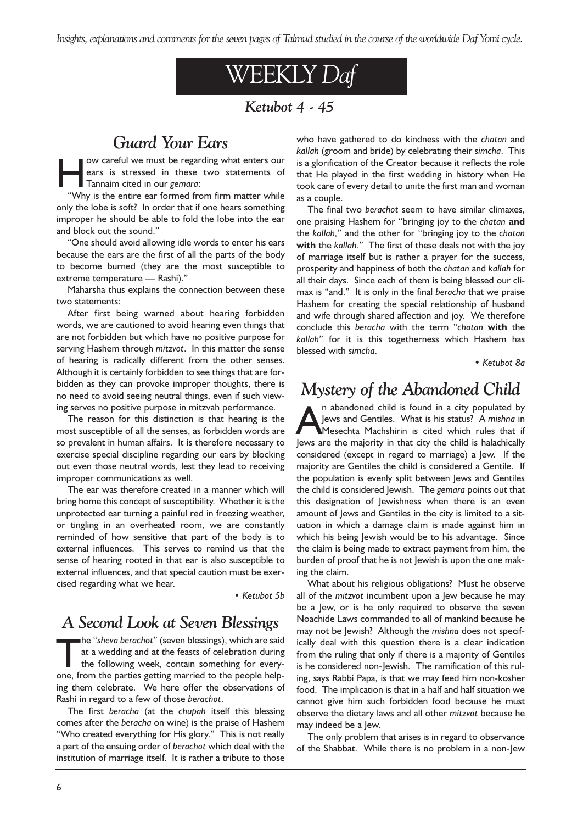Insights, explanations and comments for the seven pages of Talmud studied in the course of the worldwide Daf Yomi cycle.

# WEEKLY Daf

### Ketubot 4 - 45

### Guard Your Ears

we careful we must be regarding what enters our<br>
ears is stressed in these two statements of<br>
Tannaim cited in our gemara:<br>
"Why is the entire ear formed from firm matter while ears is stressed in these two statements of

Why is the entire ear formed from firm matter while only the lobe is soft? In order that if one hears something improper he should be able to fold the lobe into the ear and block out the sound.

One should avoid allowing idle words to enter his ears because the ears are the first of all the parts of the body to become burned (they are the most susceptible to extreme temperature - Rashi)."

Maharsha thus explains the connection between these two statements:

After first being warned about hearing forbidden words, we are cautioned to avoid hearing even things that are not forbidden but which have no positive purpose for serving Hashem through mitzvot. In this matter the sense of hearing is radically different from the other senses. Although it is certainly forbidden to see things that are forbidden as they can provoke improper thoughts, there is no need to avoid seeing neutral things, even if such viewing serves no positive purpose in mitzvah performance.

The reason for this distinction is that hearing is the most susceptible of all the senses, as forbidden words are so prevalent in human affairs. It is therefore necessary to exercise special discipline regarding our ears by blocking out even those neutral words, lest they lead to receiving improper communications as well.

The ear was therefore created in a manner which will bring home this concept of susceptibility. Whether it is the unprotected ear turning a painful red in freezing weather, or tingling in an overheated room, we are constantly reminded of how sensitive that part of the body is to external influences. This serves to remind us that the sense of hearing rooted in that ear is also susceptible to external influences, and that special caution must be exercised regarding what we hear.

Ketubot 5b

### A Second Look at Seven Blessings

The "sheva berachot" (seven blessings), which are said<br>at a wedding and at the feasts of celebration during<br>the following week, contain something for every-<br>one from the parties getting married to the people helpat a wedding and at the feasts of celebration during one, from the parties getting married to the people helping them celebrate. We here offer the observations of Rashi in regard to a few of those berachot.

The first beracha (at the chupah itself this blessing comes after the beracha on wine) is the praise of Hashem "Who created everything for His glory." This is not really a part of the ensuing order of berachot which deal with the institution of marriage itself. It is rather a tribute to those

who have gathered to do kindness with the chatan and kallah (groom and bride) by celebrating their simcha. This is a glorification of the Creator because it reflects the role that He played in the first wedding in history when He took care of every detail to unite the first man and woman as a couple.

The final two berachot seem to have similar climaxes, one praising Hashem for "bringing joy to the chatan and the kallah," and the other for "bringing joy to the chatan with the kallah." The first of these deals not with the joy of marriage itself but is rather a prayer for the success, prosperity and happiness of both the chatan and kallah for all their days. Since each of them is being blessed our climax is "and." It is only in the final beracha that we praise Hashem for creating the special relationship of husband and wife through shared affection and joy. We therefore conclude this beracha with the term "chatan with the kallah" for it is this togetherness which Hashem has blessed with simcha.

Ketubot 8a

### Mystery of the Abandoned Child

In abandoned child is found in a city populated by<br>Jews and Gentiles. What is his status? A mishna in<br>Mesechta Machshirin is cited which rules that if<br>Jews are the majority in that city the child is balachically Jews and Gentiles. What is his status? A mishna in Mesechta Machshirin is cited which rules that if Jews are the majority in that city the child is halachically considered (except in regard to marriage) a Jew. If the majority are Gentiles the child is considered a Gentile. If the population is evenly split between Jews and Gentiles the child is considered Jewish. The gemara points out that this designation of Jewishness when there is an even amount of Jews and Gentiles in the city is limited to a situation in which a damage claim is made against him in which his being Jewish would be to his advantage. Since the claim is being made to extract payment from him, the burden of proof that he is not Jewish is upon the one making the claim.

What about his religious obligations? Must he observe all of the mitzvot incumbent upon a Jew because he may be a Jew, or is he only required to observe the seven Noachide Laws commanded to all of mankind because he may not be Jewish? Although the mishna does not specifically deal with this question there is a clear indication from the ruling that only if there is a majority of Gentiles is he considered non-Jewish. The ramification of this ruling, says Rabbi Papa, is that we may feed him non-kosher food. The implication is that in a half and half situation we cannot give him such forbidden food because he must observe the dietary laws and all other mitzvot because he may indeed be a Jew.

The only problem that arises is in regard to observance of the Shabbat. While there is no problem in a non-Jew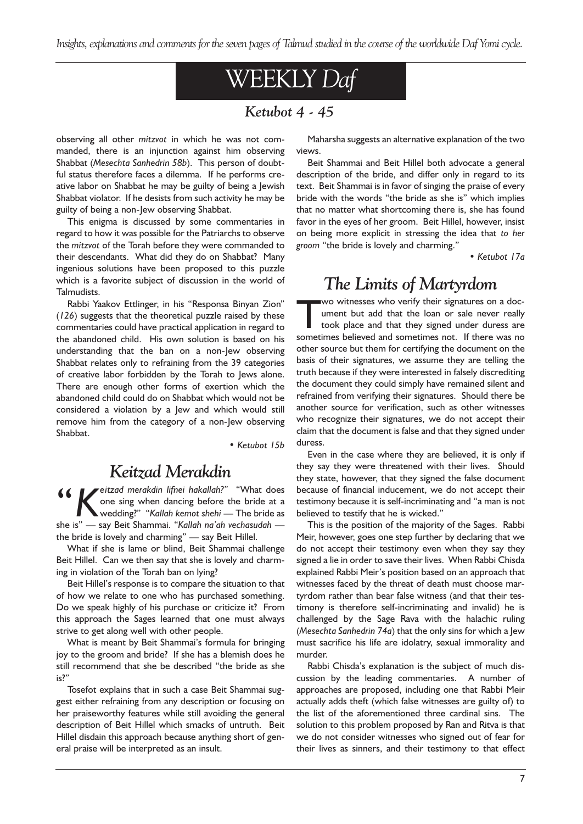# WEEKLY Daf

### Ketubot 4 - 45

observing all other mitzvot in which he was not commanded, there is an injunction against him observing Shabbat (Mesechta Sanhedrin 58b). This person of doubtful status therefore faces a dilemma. If he performs creative labor on Shabbat he may be guilty of being a Jewish Shabbat violator. If he desists from such activity he may be guilty of being a non-Jew observing Shabbat.

This enigma is discussed by some commentaries in regard to how it was possible for the Patriarchs to observe the mitzvot of the Torah before they were commanded to their descendants. What did they do on Shabbat? Many ingenious solutions have been proposed to this puzzle which is a favorite subject of discussion in the world of Talmudists.

Rabbi Yaakov Ettlinger, in his "Responsa Binyan Zion" (126) suggests that the theoretical puzzle raised by these commentaries could have practical application in regard to the abandoned child. His own solution is based on his understanding that the ban on a non-Jew observing Shabbat relates only to refraining from the 39 categories of creative labor forbidden by the Torah to Jews alone. There are enough other forms of exertion which the abandoned child could do on Shabbat which would not be considered a violation by a Jew and which would still remove him from the category of a non-Jew observing Shabbat.

Ketubot 15b

### Keitzad Merakdin

Keitzad merakdin lifnei hakallah?" "What does one sing when dancing before the bride at a wedding?" "Kallah kemot shehi — The bride as she is" - say Beit Shammai. "Kallah na'ah vechasudah the bride is lovely and charming"  $-$  say Beit Hillel.

What if she is lame or blind, Beit Shammai challenge Beit Hillel. Can we then say that she is lovely and charming in violation of the Torah ban on lying?

Beit Hillel's response is to compare the situation to that of how we relate to one who has purchased something. Do we speak highly of his purchase or criticize it? From this approach the Sages learned that one must always strive to get along well with other people.

What is meant by Beit Shammai's formula for bringing joy to the groom and bride? If she has a blemish does he still recommend that she be described "the bride as she is?

Tosefot explains that in such a case Beit Shammai suggest either refraining from any description or focusing on her praiseworthy features while still avoiding the general description of Beit Hillel which smacks of untruth. Beit Hillel disdain this approach because anything short of general praise will be interpreted as an insult.

Maharsha suggests an alternative explanation of the two views.

Beit Shammai and Beit Hillel both advocate a general description of the bride, and differ only in regard to its text. Beit Shammai is in favor of singing the praise of every bride with the words "the bride as she is" which implies that no matter what shortcoming there is, she has found favor in the eyes of her groom. Beit Hillel, however, insist on being more explicit in stressing the idea that to her groom "the bride is lovely and charming."

Ketubot 17a

### The Limits of Martyrdom

Wo witnesses who verify their signatures on a document but add that the loan or sale never really<br>took place and that they signed under duress are<br>sometimes believed and sometimes not. If there was no ument but add that the loan or sale never really took place and that they signed under duress are sometimes believed and sometimes not. If there was no other source but them for certifying the document on the basis of their signatures, we assume they are telling the truth because if they were interested in falsely discrediting the document they could simply have remained silent and refrained from verifying their signatures. Should there be another source for verification, such as other witnesses who recognize their signatures, we do not accept their claim that the document is false and that they signed under duress.

Even in the case where they are believed, it is only if they say they were threatened with their lives. Should they state, however, that they signed the false document because of financial inducement, we do not accept their testimony because it is self-incriminating and "a man is not believed to testify that he is wicked."

This is the position of the majority of the Sages. Rabbi Meir, however, goes one step further by declaring that we do not accept their testimony even when they say they signed a lie in order to save their lives. When Rabbi Chisda explained Rabbi Meir's position based on an approach that witnesses faced by the threat of death must choose martyrdom rather than bear false witness (and that their testimony is therefore self-incriminating and invalid) he is challenged by the Sage Rava with the halachic ruling (Mesechta Sanhedrin 74a) that the only sins for which a Jew must sacrifice his life are idolatry, sexual immorality and murder.

Rabbi Chisda's explanation is the subject of much discussion by the leading commentaries. A number of approaches are proposed, including one that Rabbi Meir actually adds theft (which false witnesses are guilty of) to the list of the aforementioned three cardinal sins. The solution to this problem proposed by Ran and Ritva is that we do not consider witnesses who signed out of fear for their lives as sinners, and their testimony to that effect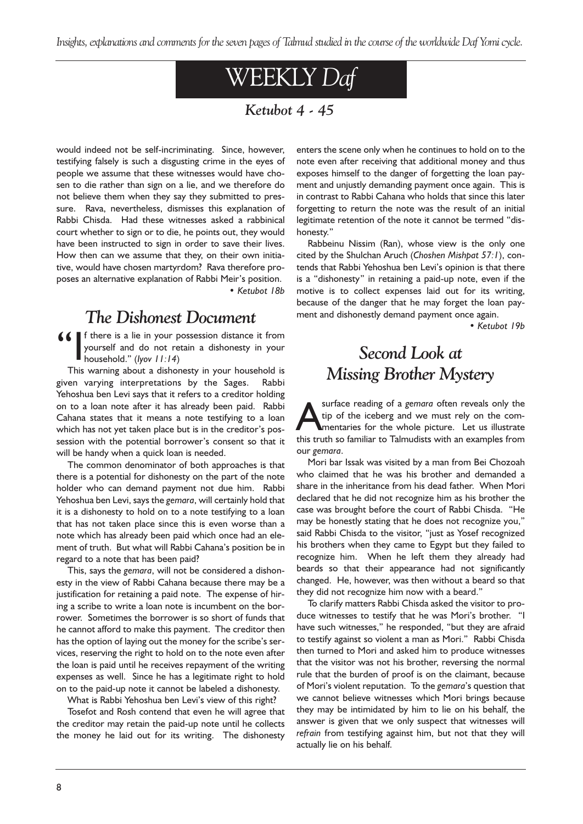# WEEKLY Daf

### Ketubot 4 - 45

would indeed not be self-incriminating. Since, however, testifying falsely is such a disgusting crime in the eyes of people we assume that these witnesses would have chosen to die rather than sign on a lie, and we therefore do not believe them when they say they submitted to pressure. Rava, nevertheless, dismisses this explanation of Rabbi Chisda. Had these witnesses asked a rabbinical court whether to sign or to die, he points out, they would have been instructed to sign in order to save their lives. How then can we assume that they, on their own initiative, would have chosen martyrdom? Rava therefore proposes an alternative explanation of Rabbi Meir's position. Ketubot 18b

### The Dishonest Document

If there is a lie in your possession distance it from yourself and do not retain a dishonesty in your household." (Iyov  $11:14$ )

This warning about a dishonesty in your household is given varying interpretations by the Sages. Rabbi Yehoshua ben Levi says that it refers to a creditor holding on to a loan note after it has already been paid. Rabbi Cahana states that it means a note testifying to a loan which has not yet taken place but is in the creditor's possession with the potential borrower's consent so that it will be handy when a quick loan is needed.

The common denominator of both approaches is that there is a potential for dishonesty on the part of the note holder who can demand payment not due him. Rabbi Yehoshua ben Levi, says the gemara, will certainly hold that it is a dishonesty to hold on to a note testifying to a loan that has not taken place since this is even worse than a note which has already been paid which once had an element of truth. But what will Rabbi Cahana's position be in regard to a note that has been paid?

This, says the gemara, will not be considered a dishonesty in the view of Rabbi Cahana because there may be a justification for retaining a paid note. The expense of hiring a scribe to write a loan note is incumbent on the borrower. Sometimes the borrower is so short of funds that he cannot afford to make this payment. The creditor then has the option of laying out the money for the scribe's services, reserving the right to hold on to the note even after the loan is paid until he receives repayment of the writing expenses as well. Since he has a legitimate right to hold on to the paid-up note it cannot be labeled a dishonesty.

What is Rabbi Yehoshua ben Levi's view of this right?

Tosefot and Rosh contend that even he will agree that the creditor may retain the paid-up note until he collects the money he laid out for its writing. The dishonesty

enters the scene only when he continues to hold on to the note even after receiving that additional money and thus exposes himself to the danger of forgetting the loan payment and unjustly demanding payment once again. This is in contrast to Rabbi Cahana who holds that since this later forgetting to return the note was the result of an initial legitimate retention of the note it cannot be termed "dishonesty.

Rabbeinu Nissim (Ran), whose view is the only one cited by the Shulchan Aruch (Choshen Mishpat 57:1), contends that Rabbi Yehoshua ben Levi's opinion is that there is a "dishonesty" in retaining a paid-up note, even if the motive is to collect expenses laid out for its writing, because of the danger that he may forget the loan payment and dishonestly demand payment once again.

Ketubot 19b

# Second Look at Missing Brother Mystery

surface reading of a *gemara* often reveals only the<br>tip of the iceberg and we must rely on the com-<br>mentaries for the whole picture. Let us illustrate<br>this truth so familiar to Talmudists with an examples from tip of the iceberg and we must rely on the commentaries for the whole picture. Let us illustrate this truth so familiar to Talmudists with an examples from our gemara.

Mori bar Issak was visited by a man from Bei Chozoah who claimed that he was his brother and demanded a share in the inheritance from his dead father. When Mori declared that he did not recognize him as his brother the case was brought before the court of Rabbi Chisda. "He may be honestly stating that he does not recognize you, said Rabbi Chisda to the visitor, "just as Yosef recognized his brothers when they came to Egypt but they failed to recognize him. When he left them they already had beards so that their appearance had not significantly changed. He, however, was then without a beard so that they did not recognize him now with a beard.

To clarify matters Rabbi Chisda asked the visitor to produce witnesses to testify that he was Mori's brother. "I have such witnesses," he responded, "but they are afraid to testify against so violent a man as Mori." Rabbi Chisda then turned to Mori and asked him to produce witnesses that the visitor was not his brother, reversing the normal rule that the burden of proof is on the claimant, because of Mori's violent reputation. To the gemara's question that we cannot believe witnesses which Mori brings because they may be intimidated by him to lie on his behalf, the answer is given that we only suspect that witnesses will refrain from testifying against him, but not that they will actually lie on his behalf.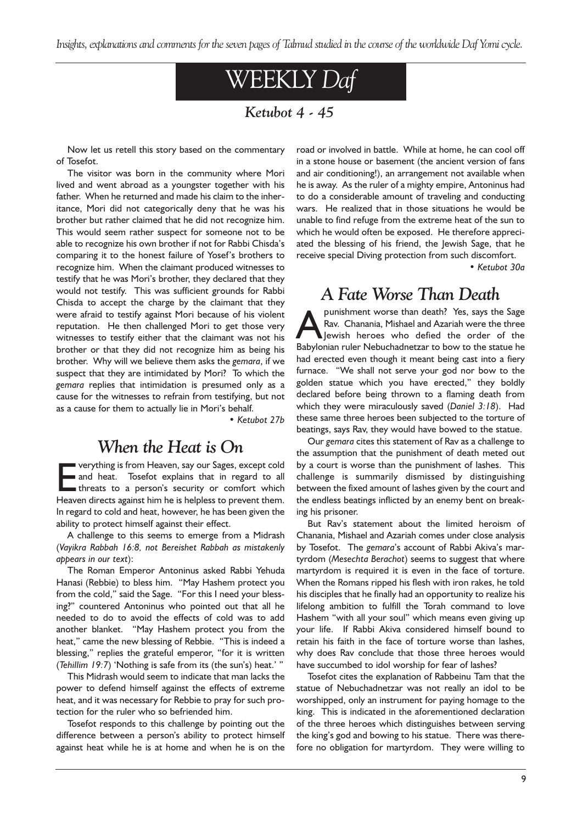Insights, explanations and comments for the seven pages of Talmud studied in the course of the worldwide Daf Yomi cycle.

# WEEKLY Daf

### Ketubot 4 - 45

Now let us retell this story based on the commentary of Tosefot.

The visitor was born in the community where Mori lived and went abroad as a youngster together with his father. When he returned and made his claim to the inheritance, Mori did not categorically deny that he was his brother but rather claimed that he did not recognize him. This would seem rather suspect for someone not to be able to recognize his own brother if not for Rabbi Chisda's comparing it to the honest failure of Yosef's brothers to recognize him. When the claimant produced witnesses to testify that he was Mori's brother, they declared that they would not testify. This was sufficient grounds for Rabbi Chisda to accept the charge by the claimant that they were afraid to testify against Mori because of his violent reputation. He then challenged Mori to get those very witnesses to testify either that the claimant was not his brother or that they did not recognize him as being his brother. Why will we believe them asks the gemara, if we suspect that they are intimidated by Mori? To which the gemara replies that intimidation is presumed only as a cause for the witnesses to refrain from testifying, but not as a cause for them to actually lie in Mori's behalf.

Ketubot 27b

### When the Heat is On

verything is from Heaven, say our Sages, except cold<br>and heat. Tosefot explains that in regard to all<br>threats to a person's security or comfort which<br>Heaven directs against him be is beloless to prevent them and heat. Tosefot explains that in regard to all threats to a person's security or comfort which Heaven directs against him he is helpless to prevent them. In regard to cold and heat, however, he has been given the ability to protect himself against their effect.

A challenge to this seems to emerge from a Midrash (Vayikra Rabbah 16:8, not Bereishet Rabbah as mistakenly appears in our text):

The Roman Emperor Antoninus asked Rabbi Yehuda Hanasi (Rebbie) to bless him. "May Hashem protect you from the cold," said the Sage. "For this I need your blessing?" countered Antoninus who pointed out that all he needed to do to avoid the effects of cold was to add another blanket. "May Hashem protect you from the heat," came the new blessing of Rebbie. "This is indeed a blessing," replies the grateful emperor, "for it is written (Tehillim  $19:7$ ) 'Nothing is safe from its (the sun's) heat.' "

This Midrash would seem to indicate that man lacks the power to defend himself against the effects of extreme heat, and it was necessary for Rebbie to pray for such protection for the ruler who so befriended him.

Tosefot responds to this challenge by pointing out the difference between a person's ability to protect himself against heat while he is at home and when he is on the road or involved in battle. While at home, he can cool off in a stone house or basement (the ancient version of fans and air conditioning!), an arrangement not available when he is away. As the ruler of a mighty empire, Antoninus had to do a considerable amount of traveling and conducting wars. He realized that in those situations he would be unable to find refuge from the extreme heat of the sun to which he would often be exposed. He therefore appreciated the blessing of his friend, the Jewish Sage, that he receive special Diving protection from such discomfort.

Ketubot 30a

### A Fate Worse Than Death

**Apunishment worse than death?** Yes, says the Sage<br>Rav. Chanania, Mishael and Azariah were the three<br>Jewish heroes who defied the order of the<br>Rabylonian ruler Nebuchadnetzar to bow to the statue he Rav. Chanania, Mishael and Azariah were the three Babylonian ruler Nebuchadnetzar to bow to the statue he had erected even though it meant being cast into a fiery furnace. "We shall not serve your god nor bow to the golden statue which you have erected," they boldly declared before being thrown to a flaming death from which they were miraculously saved (Daniel 3:18). Had these same three heroes been subjected to the torture of beatings, says Rav, they would have bowed to the statue.

Our gemara cites this statement of Rav as a challenge to the assumption that the punishment of death meted out by a court is worse than the punishment of lashes. This challenge is summarily dismissed by distinguishing between the fixed amount of lashes given by the court and the endless beatings inflicted by an enemy bent on breaking his prisoner.

But Rav's statement about the limited heroism of Chanania, Mishael and Azariah comes under close analysis by Tosefot. The gemara's account of Rabbi Akiva's martyrdom (Mesechta Berachot) seems to suggest that where martyrdom is required it is even in the face of torture. When the Romans ripped his flesh with iron rakes, he told his disciples that he finally had an opportunity to realize his lifelong ambition to fulfill the Torah command to love Hashem "with all your soul" which means even giving up your life. If Rabbi Akiva considered himself bound to retain his faith in the face of torture worse than lashes, why does Rav conclude that those three heroes would have succumbed to idol worship for fear of lashes?

Tosefot cites the explanation of Rabbeinu Tam that the statue of Nebuchadnetzar was not really an idol to be worshipped, only an instrument for paying homage to the king. This is indicated in the aforementioned declaration of the three heroes which distinguishes between serving the king's god and bowing to his statue. There was therefore no obligation for martyrdom. They were willing to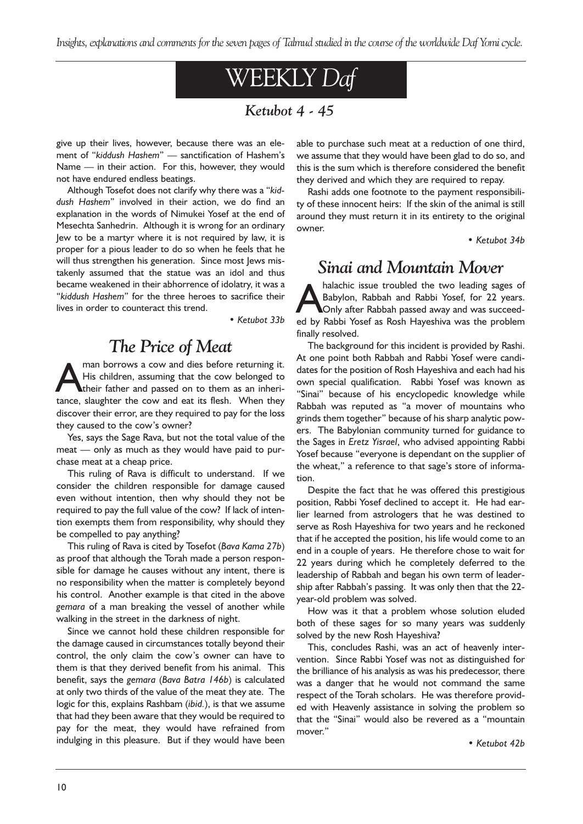# WEEKLY Daf

### Ketubot 4 - 45

give up their lives, however, because there was an element of "kiddush Hashem" - sanctification of Hashem's Name  $-$  in their action. For this, however, they would not have endured endless beatings.

Although Tosefot does not clarify why there was a "kiddush Hashem" involved in their action, we do find an explanation in the words of Nimukei Yosef at the end of Mesechta Sanhedrin. Although it is wrong for an ordinary Jew to be a martyr where it is not required by law, it is proper for a pious leader to do so when he feels that he will thus strengthen his generation. Since most lews mistakenly assumed that the statue was an idol and thus became weakened in their abhorrence of idolatry, it was a "kiddush Hashem" for the three heroes to sacrifice their lives in order to counteract this trend.

Ketubot 33b

# The Price of Meat

Man borrows a cow and dies before returning it.<br>His children, assuming that the cow belonged to<br>their father and passed on to them as an inheri-<br>tance, slaughter the cow and eat its flesh. When they His children, assuming that the cow belonged to their father and passed on to them as an inheritance, slaughter the cow and eat its flesh. When they discover their error, are they required to pay for the loss they caused to the cow's owner?

Yes, says the Sage Rava, but not the total value of the  $meat$   $\sim$  only as much as they would have paid to purchase meat at a cheap price.

This ruling of Rava is difficult to understand. If we consider the children responsible for damage caused even without intention, then why should they not be required to pay the full value of the cow? If lack of intention exempts them from responsibility, why should they be compelled to pay anything?

This ruling of Rava is cited by Tosefot (Bava Kama 27b) as proof that although the Torah made a person responsible for damage he causes without any intent, there is no responsibility when the matter is completely beyond his control. Another example is that cited in the above gemara of a man breaking the vessel of another while walking in the street in the darkness of night.

Since we cannot hold these children responsible for the damage caused in circumstances totally beyond their control, the only claim the cow's owner can have to them is that they derived benefit from his animal. This benefit, says the gemara (Bava Batra 146b) is calculated at only two thirds of the value of the meat they ate. The logic for this, explains Rashbam (ibid.), is that we assume that had they been aware that they would be required to pay for the meat, they would have refrained from indulging in this pleasure. But if they would have been

able to purchase such meat at a reduction of one third, we assume that they would have been glad to do so, and this is the sum which is therefore considered the benefit they derived and which they are required to repay.

Rashi adds one footnote to the payment responsibility of these innocent heirs: If the skin of the animal is still around they must return it in its entirety to the original owner.

• Ketubot 34b

### Sinai and Mountain Mover

halachic issue troubled the two leading sages of<br>Babylon, Rabbah and Rabbi Yosef, for 22 years.<br>Only after Rabbah passed away and was succeed-<br>ed by Rabbi Yosef as Rosh Haveshiya was the problem Babylon, Rabbah and Rabbi Yosef, for 22 years. Only after Rabbah passed away and was succeeded by Rabbi Yosef as Rosh Hayeshiva was the problem finally resolved.

The background for this incident is provided by Rashi. At one point both Rabbah and Rabbi Yosef were candidates for the position of Rosh Hayeshiva and each had his own special qualification. Rabbi Yosef was known as "Sinai" because of his encyclopedic knowledge while Rabbah was reputed as "a mover of mountains who grinds them together" because of his sharp analytic powers. The Babylonian community turned for guidance to the Sages in Eretz Yisrael, who advised appointing Rabbi Yosef because "everyone is dependant on the supplier of the wheat," a reference to that sage's store of information.

Despite the fact that he was offered this prestigious position, Rabbi Yosef declined to accept it. He had earlier learned from astrologers that he was destined to serve as Rosh Hayeshiva for two years and he reckoned that if he accepted the position, his life would come to an end in a couple of years. He therefore chose to wait for 22 years during which he completely deferred to the leadership of Rabbah and began his own term of leadership after Rabbah's passing. It was only then that the 22year-old problem was solved.

How was it that a problem whose solution eluded both of these sages for so many years was suddenly solved by the new Rosh Hayeshiva?

This, concludes Rashi, was an act of heavenly intervention. Since Rabbi Yosef was not as distinguished for the brilliance of his analysis as was his predecessor, there was a danger that he would not command the same respect of the Torah scholars. He was therefore provided with Heavenly assistance in solving the problem so that the "Sinai" would also be revered as a "mountain mover.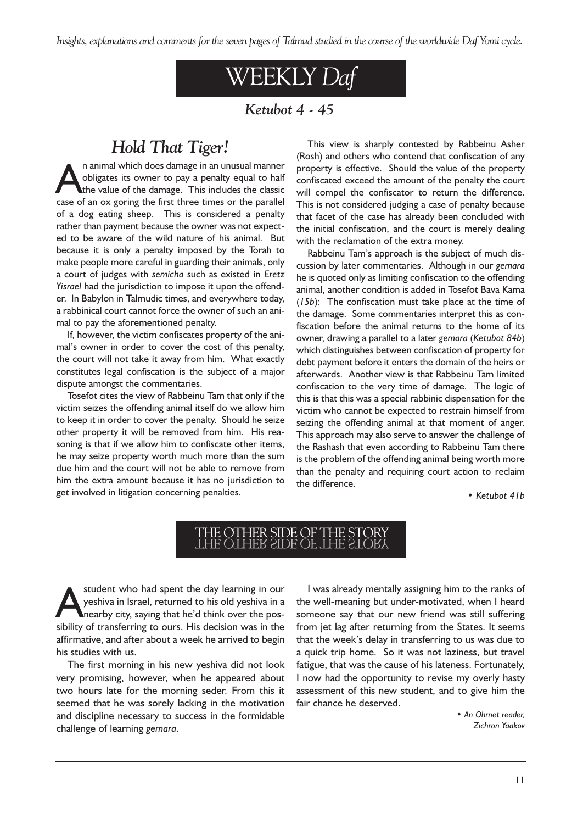# WEEKLY Daf

### Ketubot 4 - 45

# Hold That Tiger!

In animal which does damage in an unusual manner<br>obligates its owner to pay a penalty equal to half<br>the value of the damage. This includes the classic<br>case of an ox goring the first three times or the parallel obligates its owner to pay a penalty equal to half the value of the damage. This includes the classic case of an ox goring the first three times or the parallel of a dog eating sheep. This is considered a penalty rather than payment because the owner was not expected to be aware of the wild nature of his animal. But because it is only a penalty imposed by the Torah to make people more careful in guarding their animals, only a court of judges with semicha such as existed in Eretz Yisrael had the jurisdiction to impose it upon the offender. In Babylon in Talmudic times, and everywhere today, a rabbinical court cannot force the owner of such an animal to pay the aforementioned penalty.

If, however, the victim confiscates property of the animal's owner in order to cover the cost of this penalty, the court will not take it away from him. What exactly constitutes legal confiscation is the subject of a major dispute amongst the commentaries.

Tosefot cites the view of Rabbeinu Tam that only if the victim seizes the offending animal itself do we allow him to keep it in order to cover the penalty. Should he seize other property it will be removed from him. His reasoning is that if we allow him to confiscate other items, he may seize property worth much more than the sum due him and the court will not be able to remove from him the extra amount because it has no jurisdiction to get involved in litigation concerning penalties.

This view is sharply contested by Rabbeinu Asher (Rosh) and others who contend that confiscation of any property is effective. Should the value of the property confiscated exceed the amount of the penalty the court will compel the confiscator to return the difference. This is not considered judging a case of penalty because that facet of the case has already been concluded with the initial confiscation, and the court is merely dealing with the reclamation of the extra money.

Rabbeinu Tam's approach is the subject of much discussion by later commentaries. Although in our gemara he is quoted only as limiting confiscation to the offending animal, another condition is added in Tosefot Bava Kama (15b): The confiscation must take place at the time of the damage. Some commentaries interpret this as confiscation before the animal returns to the home of its owner, drawing a parallel to a later gemara (Ketubot 84b) which distinguishes between confiscation of property for debt payment before it enters the domain of the heirs or afterwards. Another view is that Rabbeinu Tam limited confiscation to the very time of damage. The logic of this is that this was a special rabbinic dispensation for the victim who cannot be expected to restrain himself from seizing the offending animal at that moment of anger. This approach may also serve to answer the challenge of the Rashash that even according to Rabbeinu Tam there is the problem of the offending animal being worth more than the penalty and requiring court action to reclaim the difference.

• Ketubot 41b

# THE OTHER SIDE OF THE STORY THE OTHER SIDE OF THE STORY

student who had spent the day learning in our<br>yeshiva in Israel, returned to his old yeshiva in a<br>nearby city, saying that he'd think over the pos-<br>sibility of transferring to ours. His decision was in the yeshiva in Israel, returned to his old yeshiva in a nearby city, saying that he'd think over the possibility of transferring to ours. His decision was in the affirmative, and after about a week he arrived to begin his studies with us.

The first morning in his new yeshiva did not look very promising, however, when he appeared about two hours late for the morning seder. From this it seemed that he was sorely lacking in the motivation and discipline necessary to success in the formidable challenge of learning gemara.

I was already mentally assigning him to the ranks of the well-meaning but under-motivated, when I heard someone say that our new friend was still suffering from jet lag after returning from the States. It seems that the week's delay in transferring to us was due to a quick trip home. So it was not laziness, but travel fatigue, that was the cause of his lateness. Fortunately, I now had the opportunity to revise my overly hasty assessment of this new student, and to give him the fair chance he deserved.

> An Ohrnet reader, Zichron Yaakov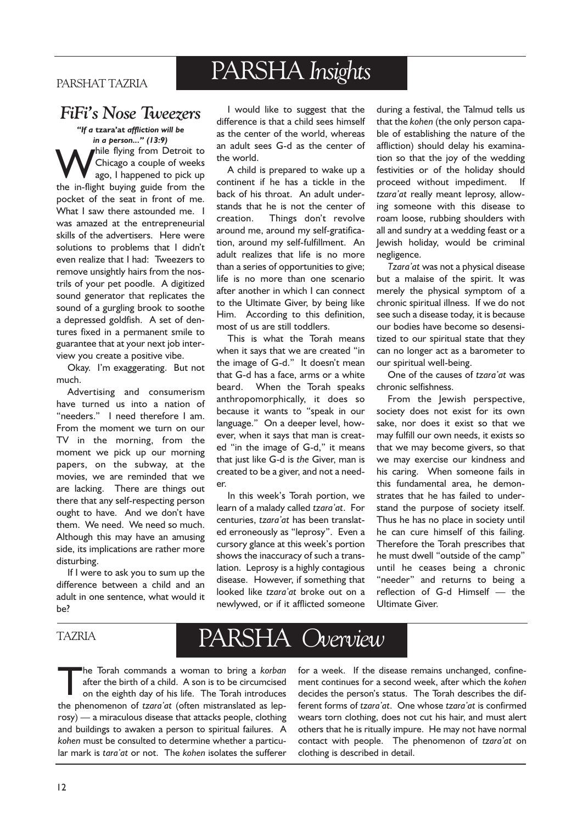### PARSHAT TAZRIA

# PARSHA Insights

# FiFis Nose Tweezers

"If a tzara'at affliction will be in a person..."  $(13:9)$ While flying from Detroit to<br>Chicago a couple of weeks<br>the in-flight buying guide from the Chicago a couple of weeks ago, I happened to pick up the in-flight buying guide from the pocket of the seat in front of me. What I saw there astounded me. I was amazed at the entrepreneurial skills of the advertisers. Here were solutions to problems that I didn't even realize that I had: Tweezers to remove unsightly hairs from the nostrils of your pet poodle. A digitized sound generator that replicates the sound of a gurgling brook to soothe a depressed goldfish. A set of dentures fixed in a permanent smile to guarantee that at your next job interview you create a positive vibe.

Okay. I'm exaggerating. But not much.

Advertising and consumerism have turned us into a nation of "needers." I need therefore I am. From the moment we turn on our TV in the morning, from the moment we pick up our morning papers, on the subway, at the movies, we are reminded that we are lacking. There are things out there that any self-respecting person ought to have. And we don't have them. We need. We need so much. Although this may have an amusing side, its implications are rather more disturbing.

If I were to ask you to sum up the difference between a child and an adult in one sentence, what would it be?

I would like to suggest that the difference is that a child sees himself as the center of the world, whereas an adult sees G-d as the center of the world.

A child is prepared to wake up a continent if he has a tickle in the back of his throat. An adult understands that he is not the center of creation. Things don't revolve around me, around my self-gratification, around my self-fulfillment. An adult realizes that life is no more than a series of opportunities to give; life is no more than one scenario after another in which I can connect to the Ultimate Giver, by being like Him. According to this definition, most of us are still toddlers.

This is what the Torah means when it says that we are created "in the image of G-d." It doesn't mean that G-d has a face, arms or a white beard. When the Torah speaks anthropomorphically, it does so because it wants to "speak in our language." On a deeper level, however, when it says that man is created "in the image of G-d," it means that just like G-d is the Giver, man is created to be a giver, and not a needer.

In this week's Torah portion, we learn of a malady called tzara'at. For centuries, tzara'at has been translated erroneously as "leprosy". Even a cursory glance at this week's portion shows the inaccuracy of such a translation. Leprosy is a highly contagious disease. However, if something that looked like tzara'at broke out on a newlywed, or if it afflicted someone during a festival, the Talmud tells us that the kohen (the only person capable of establishing the nature of the affliction) should delay his examination so that the joy of the wedding festivities or of the holiday should proceed without impediment. If tzara'at really meant leprosy, allowing someone with this disease to roam loose, rubbing shoulders with all and sundry at a wedding feast or a Jewish holiday, would be criminal negligence.

Tzara'at was not a physical disease but a malaise of the spirit. It was merely the physical symptom of a chronic spiritual illness. If we do not see such a disease today, it is because our bodies have become so desensitized to our spiritual state that they can no longer act as a barometer to our spiritual well-being.

One of the causes of tzara'at was chronic selfishness.

From the Jewish perspective, society does not exist for its own sake, nor does it exist so that we may fulfill our own needs, it exists so that we may become givers, so that we may exercise our kindness and his caring. When someone fails in this fundamental area, he demonstrates that he has failed to understand the purpose of society itself. Thus he has no place in society until he can cure himself of this failing. Therefore the Torah prescribes that he must dwell "outside of the camp" until he ceases being a chronic "needer" and returns to being a reflection of  $G-d$  Himself  $-$  the Ultimate Giver.

### TAZRIA

# PARSHA Overview

The Torah commands a woman to bring a korban<br>after the birth of a child. A son is to be circumcised<br>on the eighth day of his life. The Torah introduces after the birth of a child. A son is to be circumcised on the eighth day of his life. The Torah introduces the phenomenon of tzara'at (often mistranslated as leprosy) — a miraculous disease that attacks people, clothing and buildings to awaken a person to spiritual failures. A kohen must be consulted to determine whether a particular mark is tara'at or not. The kohen isolates the sufferer for a week. If the disease remains unchanged, confinement continues for a second week, after which the kohen decides the person's status. The Torah describes the different forms of tzara'at. One whose tzara'at is confirmed wears torn clothing, does not cut his hair, and must alert others that he is ritually impure. He may not have normal contact with people. The phenomenon of tzara'at on clothing is described in detail.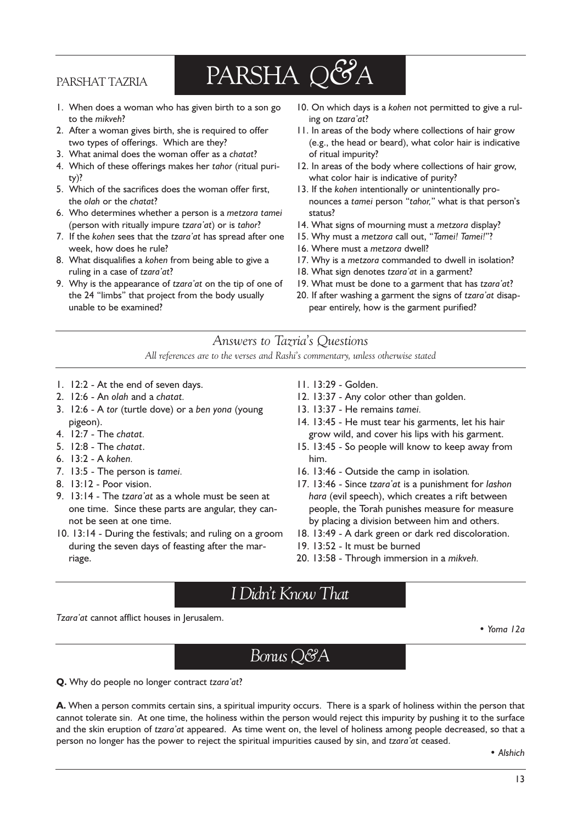### PARSHAT TAZRIA

# PARSHA Q&A

- 1. When does a woman who has given birth to a son go to the mikveh?
- 2. After a woman gives birth, she is required to offer two types of offerings. Which are they?
- 3. What animal does the woman offer as a chatat?
- 4. Which of these offerings makes her tahor (ritual purity)?
- 5. Which of the sacrifices does the woman offer first, the olah or the chatat?
- 6. Who determines whether a person is a metzora tamei (person with ritually impure  $tzara'at$ ) or is  $tahor$ ?
- 7. If the kohen sees that the tzara'at has spread after one week, how does he rule?
- 8. What disqualifies a kohen from being able to give a ruling in a case of tzara'at?
- 9. Why is the appearance of tzara'at on the tip of one of the 24 "limbs" that project from the body usually unable to be examined?
- 10. On which days is a kohen not permitted to give a ruling on tzara'at?
- 11. In areas of the body where collections of hair grow (e.g., the head or beard), what color hair is indicative of ritual impurity?
- 12. In areas of the body where collections of hair grow, what color hair is indicative of purity?
- 13. If the kohen intentionally or unintentionally pronounces a tamei person "tahor," what is that person's status?
- 14. What signs of mourning must a metzora display?
- 15. Why must a metzora call out, "Tamei! Tamei!"?
- 16. Where must a metzora dwell?
- 17. Why is a metzora commanded to dwell in isolation?
- 18. What sign denotes tzara'at in a garment?
- 19. What must be done to a garment that has tzara'at?
- 20. If after washing a garment the signs of tzara'at disappear entirely, how is the garment purified?

### Answers to Tazria's Questions

All references are to the verses and Rashi's commentary, unless otherwise stated

- 1. 12:2 At the end of seven days.
- 2. 12:6 An olah and a chatat.
- 3. 12:6 A tor (turtle dove) or a ben yona (young pigeon).
- 4. 12:7 The chatat.
- 5. 12:8 The chatat.
- 6. 13:2 A kohen.
- 7. 13:5 The person is tamei.
- 8. 13:12 Poor vision.
- 9.  $13:14$  The tzara' at as a whole must be seen at one time. Since these parts are angular, they cannot be seen at one time.
- 10. 13:14 During the festivals; and ruling on a groom during the seven days of feasting after the marriage.
- 11. 13:29 Golden.
- 12. 13:37 Any color other than golden.
- 13. 13:37 He remains tamei.
- 14. 13:45 He must tear his garments, let his hair grow wild, and cover his lips with his garment.
- 15. 13:45 So people will know to keep away from him.
- 16. 13:46 Outside the camp in isolation.
- 17. 13:46 Since tzara'at is a punishment for lashon hara (evil speech), which creates a rift between people, the Torah punishes measure for measure by placing a division between him and others.
- 18. 13:49 A dark green or dark red discoloration.
- 19. 13:52 It must be burned
- 20. 13:58 Through immersion in a mikveh.

### I Didnt Know That

Tzara'at cannot afflict houses in Jerusalem.

Yoma 12a

Bonus Q&A

Q. Why do people no longer contract tzara'at?

A. When a person commits certain sins, a spiritual impurity occurs. There is a spark of holiness within the person that cannot tolerate sin. At one time, the holiness within the person would reject this impurity by pushing it to the surface and the skin eruption of tzara'at appeared. As time went on, the level of holiness among people decreased, so that a person no longer has the power to reject the spiritual impurities caused by sin, and tzara'at ceased.

• Alshich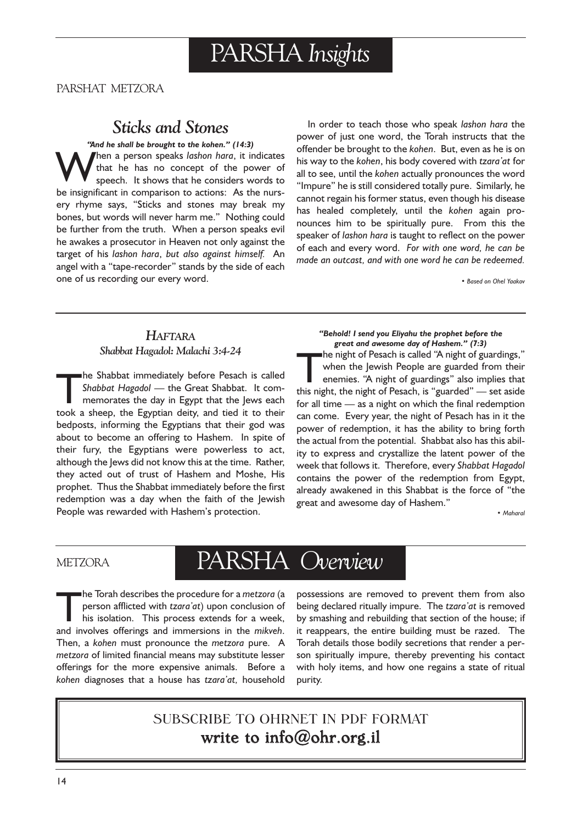# PARSHA Insights

PARSHAT METZORA

# Sticks and Stones

"And he shall be brought to the kohen." (14:3) hen a person speaks lashon hara, it indicates that he has no concept of the power of speech. It shows that he considers words to be insignificant in comparison to actions: As the nursery rhyme says, "Sticks and stones may break my bones, but words will never harm me." Nothing could be further from the truth. When a person speaks evil he awakes a prosecutor in Heaven not only against the target of his lashon hara, but also against himself. An angel with a "tape-recorder" stands by the side of each one of us recording our every word.

In order to teach those who speak lashon hara the power of just one word, the Torah instructs that the offender be brought to the kohen. But, even as he is on his way to the kohen, his body covered with tzara'at for all to see, until the kohen actually pronounces the word "Impure" he is still considered totally pure. Similarly, he cannot regain his former status, even though his disease has healed completely, until the kohen again pronounces him to be spiritually pure. From this the speaker of lashon hara is taught to reflect on the power of each and every word. For with one word, he can be made an outcast, and with one word he can be redeemed.

Based on Ohel Yaakov

### **HAFTARA** Shabbat Hagadol: Malachi 3:4-24

The Shabbat immediately before Pesach is called<br>Shabbat Hagadol — the Great Shabbat. It com-<br>memorates the day in Egypt that the Jews each<br>took a sheep, the Egyptian deity and tied it to their Shabbat Hagadol — the Great Shabbat. It commemorates the day in Egypt that the Jews each took a sheep, the Egyptian deity, and tied it to their bedposts, informing the Egyptians that their god was about to become an offering to Hashem. In spite of their fury, the Egyptians were powerless to act, although the Jews did not know this at the time. Rather, they acted out of trust of Hashem and Moshe, His prophet. Thus the Shabbat immediately before the first redemption was a day when the faith of the Jewish People was rewarded with Hashem's protection.

#### Behold! I send you Eliyahu the prophet before the great and awesome day of Hashem." (7:3) The night of Pesach is called "A night of guardings,"<br>when the Jewish People are guarded from their<br>enemies. "A night of guardings" also implies that<br>this night, the night of Pesach, is "guarded" — set aside when the Jewish People are guarded from their enemies. "A night of guardings" also implies that this night, the night of Pesach, is "guarded"  $-$  set aside for all time  $-$  as a night on which the final redemption can come. Every year, the night of Pesach has in it the power of redemption, it has the ability to bring forth the actual from the potential. Shabbat also has this ability to express and crystallize the latent power of the week that follows it. Therefore, every Shabbat Hagadol contains the power of the redemption from Egypt, already awakened in this Shabbat is the force of "the great and awesome day of Hashem.

Maharal

### **METZORA**

# PARSHA Overview

The Torah describes the procedure for a metzora (a<br>person afflicted with tzara'at) upon conclusion of<br>his isolation. This process extends for a week,<br>and involves offerings and immersions in the mikyeb person afflicted with tzara'at) upon conclusion of his isolation. This process extends for a week, and involves offerings and immersions in the mikveh. Then, a kohen must pronounce the metzora pure. A metzora of limited financial means may substitute lesser offerings for the more expensive animals. Before a kohen diagnoses that a house has tzara'at, household possessions are removed to prevent them from also being declared ritually impure. The tzara'at is removed by smashing and rebuilding that section of the house; if it reappears, the entire building must be razed. The Torah details those bodily secretions that render a person spiritually impure, thereby preventing his contact with holy items, and how one regains a state of ritual purity.

### SUBSCRIBE TO OHRNET IN PDF FORMAT write to info@ohr.org.il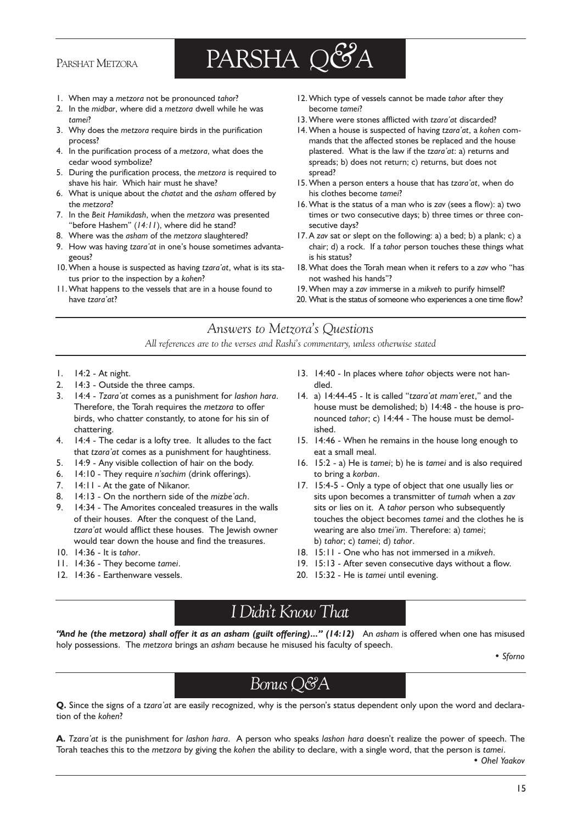### PARSHAT METZORA



- 1. When may a metzora not be pronounced tahor?
- 2. In the midbar, where did a metzora dwell while he was tamei?
- 3. Why does the metzora require birds in the purification process?
- 4. In the purification process of a metzora, what does the cedar wood symbolize?
- 5. During the purification process, the metzora is required to shave his hair. Which hair must he shave?
- 6. What is unique about the chatat and the asham offered by the metzora?
- 7. In the Beit Hamikdash, when the metzora was presented "before Hashem"  $(14:11)$ , where did he stand?
- 8. Where was the asham of the metzora slaughtered?
- 9. How was having tzara'at in one's house sometimes advantageous?
- 10. When a house is suspected as having tzara'at, what is its status prior to the inspection by a kohen?
- 11.What happens to the vessels that are in a house found to have tzara'at?
- 12. Which type of vessels cannot be made tahor after they become tamei?
- 13. Where were stones afflicted with tzara'at discarded?
- 14. When a house is suspected of having tzara'at, a kohen commands that the affected stones be replaced and the house plastered. What is the law if the tzara'at: a) returns and spreads; b) does not return; c) returns, but does not spread?
- 15. When a person enters a house that has tzara'at, when do his clothes become tamei?
- 16.What is the status of a man who is zav (sees a flow): a) two times or two consecutive days; b) three times or three consecutive days?
- 17. A zav sat or slept on the following: a) a bed; b) a plank; c) a chair; d) a rock. If a tahor person touches these things what is his status?
- 18. What does the Torah mean when it refers to a zav who "has not washed his hands"?
- 19.When may a zav immerse in a mikveh to purify himself?
- 20. What is the status of someone who experiences a one time flow?

### Answers to Metzora's Questions

All references are to the verses and Rashi's commentary, unless otherwise stated

- 1. 14:2 At night.
- 2. 14:3 Outside the three camps.
- 3. 14:4 Tzara'at comes as a punishment for lashon hara. Therefore, the Torah requires the metzora to offer birds, who chatter constantly, to atone for his sin of chattering.
- 4. 14:4 The cedar is a lofty tree. It alludes to the fact that tzara'at comes as a punishment for haughtiness.
- 5. 14:9 Any visible collection of hair on the body.
- 6.  $14:10$  They require n'sachim (drink offerings).
- 7. 14:11 At the gate of Nikanor.
- 8.  $14:13$  On the northern side of the mizbe ach.
- 9. 14:34 The Amorites concealed treasures in the walls of their houses. After the conquest of the Land, tzara'at would afflict these houses. The Jewish owner would tear down the house and find the treasures.
- 10. 14:36 It is tahor.
- 11. 14:36 They become tamei.
- 12. 14:36 Earthenware vessels.
- 13. 14:40 In places where tahor objects were not handled.
- 14. a)  $14:44-45$  It is called "tzara' at mam'eret," and the house must be demolished; b) 14:48 - the house is pronounced tahor; c) 14:44 - The house must be demolished.
- 15. 14:46 When he remains in the house long enough to eat a small meal.
- 16. 15:2 a) He is tamei; b) he is tamei and is also required to bring a korban.
- 17. 15:4-5 Only a type of object that one usually lies or sits upon becomes a transmitter of tumah when a zav sits or lies on it. A tahor person who subsequently touches the object becomes tamei and the clothes he is wearing are also tmei'im. Therefore: a) tamei; b) tahor; c) tamei; d) tahor.
- 18. 15:11 One who has not immersed in a mikveh.
- 19. 15:13 After seven consecutive days without a flow.
- 20. 15:32 He is tamei until evening.

# I Didn't Know That

"And he (the metzora) shall offer it as an asham (guilt offering)..."  $(14:12)$  An asham is offered when one has misused holy possessions. The metzora brings an asham because he misused his faculty of speech.

• Sforno

# Bonus Q&A

Q. Since the signs of a tzara'at are easily recognized, why is the person's status dependent only upon the word and declaration of the kohen?

A. Tzara'at is the punishment for lashon hara. A person who speaks lashon hara doesn't realize the power of speech. The Torah teaches this to the metzora by giving the kohen the ability to declare, with a single word, that the person is tamei.

Ohel Yaakov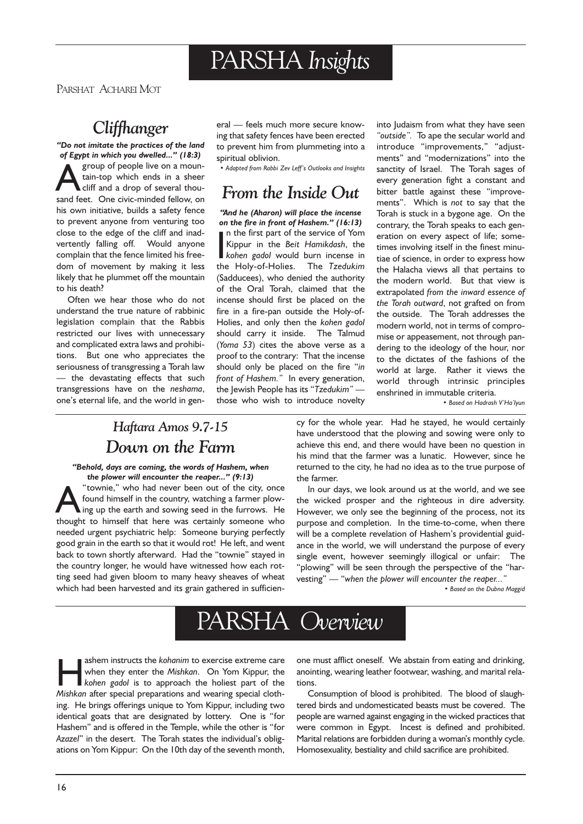# PARSHA Insights

PARSHAT ACHAREI MOT

# **Cliffhanger**

Do not imitate the practices of the land of Egypt in which you dwelled..." (18:3) group of people live on a moun-<br>tain-top which ends in a sheer<br>cliff and a drop of several thou-<br>sand feet. One civic-minded fellow on tain-top which ends in a sheer cliff and a drop of several thousand feet. One civic-minded fellow, on his own initiative, builds a safety fence to prevent anyone from venturing too close to the edge of the cliff and inadvertently falling off. Would anyone complain that the fence limited his freedom of movement by making it less likely that he plummet off the mountain to his death?

Often we hear those who do not understand the true nature of rabbinic legislation complain that the Rabbis restricted our lives with unnecessary and complicated extra laws and prohibitions. But one who appreciates the seriousness of transgressing a Torah law - the devastating effects that such transgressions have on the neshama, one's eternal life, and the world in general - feels much more secure knowing that safety fences have been erected to prevent him from plummeting into a spiritual oblivion.

.<br>• Adapted from Rabbi Zev Leff's Outlooks and Insights

### From the Inside Out

''And he (Aharon) will place the incense on the fire in front of Hashem." (16:13) In the first part of the service of Yom<br>
Kippur in the *Beit Hamikdash*, the<br>
kohen gadol would burn incense in<br>
the Holy-of-Holies The *Tzedukim* n the first part of the service of Yom Kippur in the Beit Hamikdash, the the Holy-of-Holies. The Tzedukim (Sadducees), who denied the authority of the Oral Torah, claimed that the incense should first be placed on the fire in a fire-pan outside the Holy-of-Holies, and only then the kohen gadol should carry it inside. The Talmud (Yoma 53) cites the above verse as a proof to the contrary: That the incense should only be placed on the fire "in front of Hashem." In every generation, the Jewish People has its "Tzedukim" those who wish to introduce novelty

into Judaism from what they have seen "outside". To ape the secular world and introduce "improvements," "adjustments" and "modernizations" into the sanctity of Israel. The Torah sages of every generation fight a constant and bitter battle against these "improvements". Which is not to say that the Torah is stuck in a bygone age. On the contrary, the Torah speaks to each generation on every aspect of life; sometimes involving itself in the finest minutiae of science, in order to express how the Halacha views all that pertains to the modern world. But that view is extrapolated from the inward essence of the Torah outward, not grafted on from the outside. The Torah addresses the modern world, not in terms of compromise or appeasement, not through pandering to the ideology of the hour, nor to the dictates of the fashions of the world at large. Rather it views the world through intrinsic principles enshrined in immutable criteria.

• Based on Hadrash V'Ha'lvun

### Haftara Amos 9.7-15 Down on the Farm

Behold, days are coming, the words of Hashem, when the plower will encounter the reaper..."  $(9:13)$ 

**A** "townie," who had never been out of the city, once<br>found himself in the country, watching a farmer plow-<br>thought to himself that here was certainly someone who found himself in the country, watching a farmer plowthought to himself that here was certainly someone who needed urgent psychiatric help: Someone burying perfectly good grain in the earth so that it would rot! He left, and went back to town shortly afterward. Had the "townie" stayed in the country longer, he would have witnessed how each rotting seed had given bloom to many heavy sheaves of wheat which had been harvested and its grain gathered in sufficiency for the whole year. Had he stayed, he would certainly have understood that the plowing and sowing were only to achieve this end, and there would have been no question in his mind that the farmer was a lunatic. However, since he returned to the city, he had no idea as to the true purpose of the farmer.

In our days, we look around us at the world, and we see the wicked prosper and the righteous in dire adversity. However, we only see the beginning of the process, not its purpose and completion. In the time-to-come, when there will be a complete revelation of Hashem's providential guidance in the world, we will understand the purpose of every single event, however seemingly illogical or unfair: The "plowing" will be seen through the perspective of the "harvesting" - "when the plower will encounter the reaper..."

• Based on the Dubna Maggid



shem instructs the kohanim to exercise extreme care<br>
when they enter the Mishkan. On Yom Kippur, the<br>
kohen gadol is to approach the holiest part of the<br>
Mishkan after special preparations and wearing special clothwhen they enter the Mishkan. On Yom Kippur, the Mishkan after special preparations and wearing special clothing. He brings offerings unique to Yom Kippur, including two identical goats that are designated by lottery. One is "for Hashem" and is offered in the Temple, while the other is "for Azazel" in the desert. The Torah states the individual's obligations on Yom Kippur: On the 10th day of the seventh month, one must afflict oneself. We abstain from eating and drinking, anointing, wearing leather footwear, washing, and marital relations.

Consumption of blood is prohibited. The blood of slaughtered birds and undomesticated beasts must be covered. The people are warned against engaging in the wicked practices that were common in Egypt. Incest is defined and prohibited. Marital relations are forbidden during a woman's monthly cycle. Homosexuality, bestiality and child sacrifice are prohibited.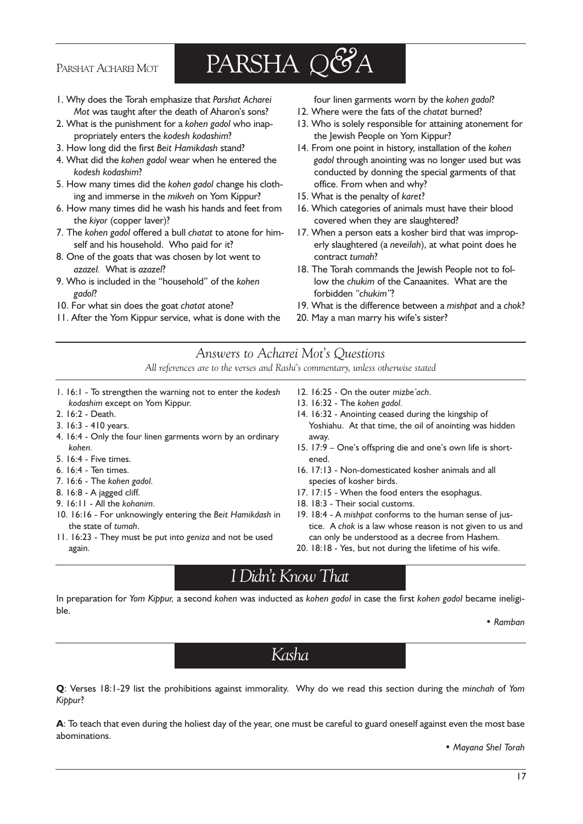#### PARSHAT ACHAREI MOT

# PARSHA Q&A

- 1. Why does the Torah emphasize that Parshat Acharei Mot was taught after the death of Aharon's sons?
- 2. What is the punishment for a kohen gadol who inappropriately enters the kodesh kodashim?
- 3. How long did the first Beit Hamikdash stand?
- 4. What did the kohen gadol wear when he entered the kodesh kodashim?
- 5. How many times did the kohen gadol change his clothing and immerse in the mikveh on Yom Kippur?
- 6. How many times did he wash his hands and feet from the kiyor (copper laver)?
- 7. The kohen gadol offered a bull chatat to atone for himself and his household. Who paid for it?
- 8. One of the goats that was chosen by lot went to azazel. What is azazel?
- 9. Who is included in the "household" of the kohen gadol?
- 10. For what sin does the goat chatat atone?
- 11. After the Yom Kippur service, what is done with the

four linen garments worn by the kohen gadol?

- 12. Where were the fats of the chatat burned?
- 13. Who is solely responsible for attaining atonement for the Jewish People on Yom Kippur?
- 14. From one point in history, installation of the kohen gadol through anointing was no longer used but was conducted by donning the special garments of that office. From when and why?
- 15. What is the penalty of karet?
- 16. Which categories of animals must have their blood covered when they are slaughtered?
- 17. When a person eats a kosher bird that was improperly slaughtered (a neveilah), at what point does he contract tumah?
- 18. The Torah commands the Jewish People not to follow the chukim of the Canaanites. What are the forbidden "chukim"?
- 19. What is the difference between a mishpat and a chok?
- 20. May a man marry his wife's sister?

Answers to Acharei Mot's Questions All references are to the verses and Rashi's commentary, unless otherwise stated

- 1. 16:1 To strengthen the warning not to enter the kodesh kodashim except on Yom Kippur.
- 2. 16:2 Death.
- 3. 16:3 410 years.
- 4. 16:4 Only the four linen garments worn by an ordinary kohen.
- 5. 16:4 Five times.
- 6. 16:4 Ten times.
- 7. 16:6 The kohen gadol.
- 8. 16:8 A jagged cliff.
- 9. 16:11 All the kohanim.
- 10. 16:16 For unknowingly entering the Beit Hamikdash in the state of tumah.
- 11. 16:23 They must be put into geniza and not be used again.
- 12. 16:25 On the outer mizbe'ach.
- 13. 16:32 The kohen gadol.
- 14. 16:32 Anointing ceased during the kingship of Yoshiahu. At that time, the oil of anointing was hidden away.
- 15. 17:9 One's offspring die and one's own life is shortened.
- 16. 17:13 Non-domesticated kosher animals and all species of kosher birds.
- 17. 17:15 When the food enters the esophagus.
- 18. 18:3 Their social customs.
- 19. 18:4 A mishpat conforms to the human sense of justice. A chok is a law whose reason is not given to us and can only be understood as a decree from Hashem.
- 20. 18:18 Yes, but not during the lifetime of his wife.

# I Didn't Know That

In preparation for Yom Kippur, a second kohen was inducted as kohen gadol in case the first kohen gadol became ineligible.

Ramban

Kasha

Q: Verses 18:1-29 list the prohibitions against immorality. Why do we read this section during the minchah of Yom Kippur?

A: To teach that even during the holiest day of the year, one must be careful to guard oneself against even the most base abominations.

Mayana Shel Torah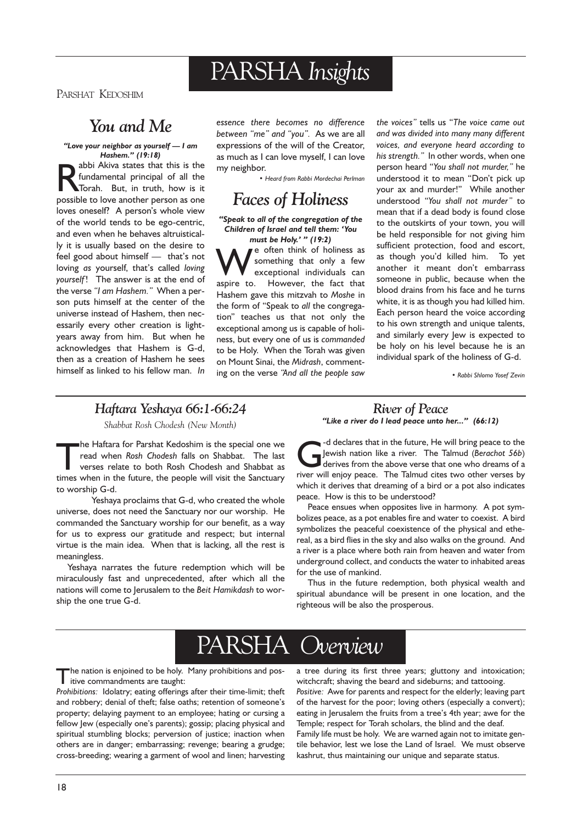# PARSHA Insights

PARSHAT KEDOSHIM

# You and Me

#### "Love your neighbor as yourself - I am Hashem." (19:18)

abbi Akiva states that this is the fundamental principal of all the Torah. But, in truth, how is it possible to love another person as one abbi Akiva states that this is the fundamental principal of all the Torah. But, in truth, how is it loves oneself? A person's whole view of the world tends to be ego-centric, and even when he behaves altruistically it is usually based on the desire to feel good about himself  $-$  that's not loving as yourself, that's called loving yourself! The answer is at the end of the verse "I am Hashem." When a person puts himself at the center of the universe instead of Hashem, then necessarily every other creation is lightyears away from him. But when he acknowledges that Hashem is G-d, then as a creation of Hashem he sees himself as linked to his fellow man. In

essence there becomes no difference between "me" and "you". As we are all expressions of the will of the Creator, as much as I can love myself, I can love my neighbor.

Heard from Rabbi Mordechai Perlman

### Faces of Holiness

Speak to all of the congregation of the Children of Israel and tell them: You must be Holy.'  $''$  (19:2)

We often think of holiness as<br>exceptional individuals can<br>aspire to However, the fact that something that only a few exceptional individuals can aspire to. However, the fact that Hashem gave this mitzvah to Moshe in the form of "Speak to all the congregation" teaches us that not only the exceptional among us is capable of holiness, but every one of us is commanded to be Holy. When the Torah was given on Mount Sinai, the Midrash, commenting on the verse "And all the people saw the voices" tells us "The voice came out and was divided into many many different voices, and everyone heard according to his strength." In other words, when one person heard "You shall not murder," he understood it to mean "Don't pick up your ax and murder!" While another understood "You shall not murder" to mean that if a dead body is found close to the outskirts of your town, you will be held responsible for not giving him sufficient protection, food and escort, as though you'd killed him. To yet another it meant don't embarrass someone in public, because when the blood drains from his face and he turns white, it is as though you had killed him. Each person heard the voice according to his own strength and unique talents, and similarly every lew is expected to be holy on his level because he is an individual spark of the holiness of G-d.

Rabbi Shlomo Yosef Zevin

### Haftara Yeshaya 66:1-66:24

Shabbat Rosh Chodesh (New Month)

The Haftara for Parshat Kedoshim is the special one we<br>read when *Rosh Chodesh falls* on Shabbat. The last<br>verses relate to both Rosh Chodesh and Shabbat as<br>times when in the future, the people will visit the Sanctuary read when Rosh Chodesh falls on Shabbat. The last verses relate to both Rosh Chodesh and Shabbat as times when in the future, the people will visit the Sanctuary to worship G-d.

Yeshaya proclaims that G-d, who created the whole universe, does not need the Sanctuary nor our worship. He commanded the Sanctuary worship for our benefit, as a way for us to express our gratitude and respect; but internal virtue is the main idea. When that is lacking, all the rest is meaningless.

Yeshaya narrates the future redemption which will be miraculously fast and unprecedented, after which all the nations will come to Jerusalem to the Beit Hamikdash to worship the one true G-d.

#### River of Peace "Like a river do I lead peace unto her..." (66:12)

declares that in the future, He will bring peace to the<br>Jewish nation like a river. The Talmud (Berachot 56b)<br>derives from the above verse that one who dreams of a<br>river will enjoy peace. The Talmud cites two other verses Jewish nation like a river. The Talmud (Berachot 56b) river will enjoy peace. The Talmud cites two other verses by which it derives that dreaming of a bird or a pot also indicates peace. How is this to be understood?

Peace ensues when opposites live in harmony. A pot symbolizes peace, as a pot enables fire and water to coexist. A bird symbolizes the peaceful coexistence of the physical and ethereal, as a bird flies in the sky and also walks on the ground. And a river is a place where both rain from heaven and water from underground collect, and conducts the water to inhabited areas for the use of mankind.

Thus in the future redemption, both physical wealth and spiritual abundance will be present in one location, and the righteous will be also the prosperous.

# PARSHA Overview

The nation is enjoined to be holy. Many prohibitions and positive commandments are taught:

Prohibitions: Idolatry; eating offerings after their time-limit; theft and robbery; denial of theft; false oaths; retention of someone's property; delaying payment to an employee; hating or cursing a fellow Jew (especially one's parents); gossip; placing physical and spiritual stumbling blocks; perversion of justice; inaction when others are in danger; embarrassing; revenge; bearing a grudge; cross-breeding; wearing a garment of wool and linen; harvesting

a tree during its first three years; gluttony and intoxication; witchcraft; shaving the beard and sideburns; and tattooing.

Positive: Awe for parents and respect for the elderly; leaving part of the harvest for the poor; loving others (especially a convert); eating in Jerusalem the fruits from a tree's 4th year; awe for the Temple; respect for Torah scholars, the blind and the deaf. Family life must be holy. We are warned again not to imitate gentile behavior, lest we lose the Land of Israel. We must observe kashrut, thus maintaining our unique and separate status.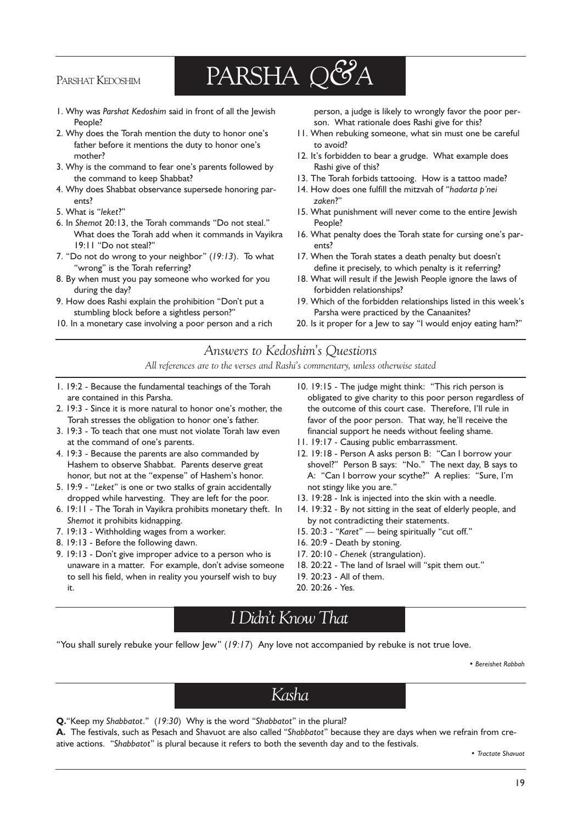### PARSHAT KEDOSHIM

# PARSHA Q&A

- 1. Why was Parshat Kedoshim said in front of all the Jewish People?
- 2. Why does the Torah mention the duty to honor one's father before it mentions the duty to honor one's mother?
- 3. Why is the command to fear one's parents followed by the command to keep Shabbat?
- 4. Why does Shabbat observance supersede honoring parents?
- 5. What is "leket?"
- 6. In Shemot 20:13, the Torah commands "Do not steal." What does the Torah add when it commands in Vayikra 19:11 "Do not steal?"
- 7. "Do not do wrong to your neighbor"  $(19:13)$ . To what "wrong" is the Torah referring?
- 8. By when must you pay someone who worked for you during the day?
- 9. How does Rashi explain the prohibition "Don't put a stumbling block before a sightless person?
- 10. In a monetary case involving a poor person and a rich

person, a judge is likely to wrongly favor the poor person. What rationale does Rashi give for this?

- 11. When rebuking someone, what sin must one be careful to avoid?
- 12. It's forbidden to bear a grudge. What example does Rashi give of this?
- 13. The Torah forbids tattooing. How is a tattoo made?
- 14. How does one fulfill the mitzvah of "hadarta p'nei zaken?
- 15. What punishment will never come to the entire Jewish People?
- 16. What penalty does the Torah state for cursing one's parents?
- 17. When the Torah states a death penalty but doesn't define it precisely, to which penalty is it referring?
- 18. What will result if the Jewish People ignore the laws of forbidden relationships?
- 19. Which of the forbidden relationships listed in this week's Parsha were practiced by the Canaanites?
- 20. Is it proper for a Jew to say "I would enjoy eating ham?"

#### Answers to Kedoshim's Questions All references are to the verses and Rashi's commentary, unless otherwise stated

- 1. 19:2 Because the fundamental teachings of the Torah are contained in this Parsha.
- 2. 19:3 Since it is more natural to honor one's mother, the Torah stresses the obligation to honor one's father.
- 3. 19:3 To teach that one must not violate Torah law even at the command of one's parents.
- 4. 19:3 Because the parents are also commanded by Hashem to observe Shabbat. Parents deserve great honor, but not at the "expense" of Hashem's honor.
- 5. 19:9 "Leket" is one or two stalks of grain accidentally dropped while harvesting. They are left for the poor.
- 6. 19:11 The Torah in Vayikra prohibits monetary theft. In Shemot it prohibits kidnapping.
- 7. 19:13 Withholding wages from a worker.
- 8. 19:13 Before the following dawn.
- 9. 19:13 Don't give improper advice to a person who is unaware in a matter. For example, don't advise someone to sell his field, when in reality you yourself wish to buy it.
- 10. 19:15 The judge might think: "This rich person is obligated to give charity to this poor person regardless of the outcome of this court case. Therefore, I'll rule in favor of the poor person. That way, he'll receive the financial support he needs without feeling shame.
- 11. 19:17 Causing public embarrassment.
- 12. 19:18 Person A asks person B: "Can I borrow your shovel?" Person B says: "No." The next day, B says to A: "Can I borrow your scythe?" A replies: "Sure, I'm not stingy like you are.
- 13. 19:28 Ink is injected into the skin with a needle.
- 14. 19:32 By not sitting in the seat of elderly people, and by not contradicting their statements.
- 15. 20:3 "Karet" being spiritually "cut off."
- 16. 20:9 Death by stoning.
- 17. 20:10 Chenek (strangulation).
- 18. 20:22 The land of Israel will "spit them out."
- 19. 20:23 All of them.
- 20. 20:26 Yes.

### I Didn't Know That

"You shall surely rebuke your fellow  $|ew" (19:17)$  Any love not accompanied by rebuke is not true love.

Bereishet Rabbah

Kasha

Q. "Keep my Shabbatot." (19:30) Why is the word "Shabbatot" in the plural?

A. The festivals, such as Pesach and Shavuot are also called "Shabbatot" because they are days when we refrain from creative actions. "Shabbatot" is plural because it refers to both the seventh day and to the festivals.

Tractate Shavuot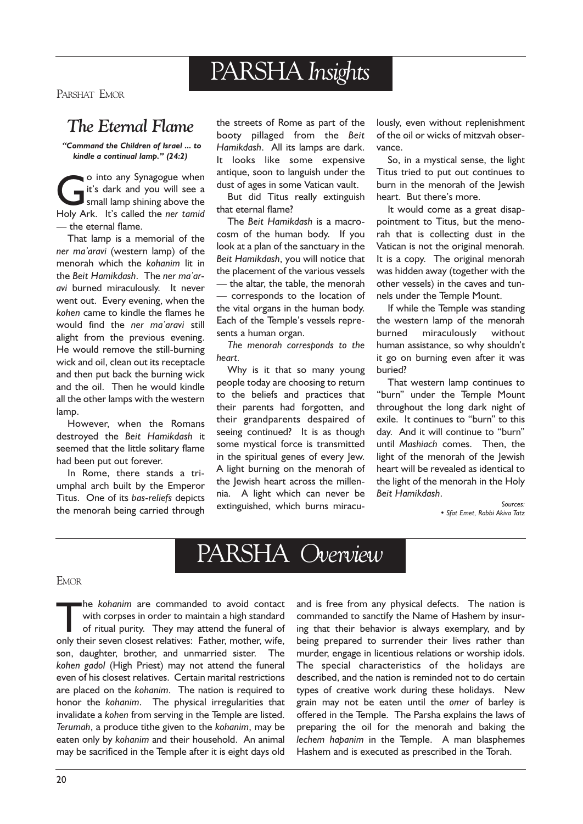# PARSHA Insights

PARSHAT EMOR

### The Eternal Flame

Command the Children of Israel ... to kindle a continual lamp."  $(24:2)$ 

o into any Synagogue when<br>it's dark and you will see a<br>small lamp shining above the<br>Holy Ark It's called the ner tamid it's dark and you will see a small lamp shining above the Holy Ark. It's called the ner tamid - the eternal flame.

That lamp is a memorial of the ner ma'aravi (western lamp) of the menorah which the kohanim lit in the Beit Hamikdash. The ner ma'aravi burned miraculously. It never went out. Every evening, when the kohen came to kindle the flames he would find the ner ma'aravi still alight from the previous evening. He would remove the still-burning wick and oil, clean out its receptacle and then put back the burning wick and the oil. Then he would kindle all the other lamps with the western lamp.

However, when the Romans destroyed the Beit Hamikdash it seemed that the little solitary flame had been put out forever.

In Rome, there stands a triumphal arch built by the Emperor Titus. One of its bas-reliefs depicts the menorah being carried through

the streets of Rome as part of the booty pillaged from the Beit Hamikdash. All its lamps are dark. It looks like some expensive antique, soon to languish under the dust of ages in some Vatican vault.

But did Titus really extinguish that eternal flame?

The Beit Hamikdash is a macrocosm of the human body. If you look at a plan of the sanctuary in the Beit Hamikdash, you will notice that the placement of the various vessels  $-$  the altar, the table, the menorah corresponds to the location of the vital organs in the human body. Each of the Temple's vessels represents a human organ.

The menorah corresponds to the heart.

Why is it that so many young people today are choosing to return to the beliefs and practices that their parents had forgotten, and their grandparents despaired of seeing continued? It is as though some mystical force is transmitted in the spiritual genes of every Jew. A light burning on the menorah of the Jewish heart across the millennia. A light which can never be extinguished, which burns miraculously, even without replenishment of the oil or wicks of mitzvah observance.

So, in a mystical sense, the light Titus tried to put out continues to burn in the menorah of the Jewish heart. But there's more.

It would come as a great disappointment to Titus, but the menorah that is collecting dust in the Vatican is not the original menorah. It is a copy. The original menorah was hidden away (together with the other vessels) in the caves and tunnels under the Temple Mount.

If while the Temple was standing the western lamp of the menorah burned miraculously without human assistance, so why shouldn't it go on burning even after it was buried?

That western lamp continues to "burn" under the Temple Mount throughout the long dark night of exile. It continues to "burn" to this day. And it will continue to "burn" until Mashiach comes. Then, the light of the menorah of the Jewish heart will be revealed as identical to the light of the menorah in the Holy Beit Hamikdash.

> Sources: • Sfat Emet, Rabbi Akiva Tatz

# PARSHA Overview

#### EMOR

The kohanim are commanded to avoid contact<br>with corpses in order to maintain a high standard<br>of ritual purity. They may attend the funeral of<br>only their seven closest relatives: Eather mother wife with corpses in order to maintain a high standard of ritual purity. They may attend the funeral of only their seven closest relatives: Father, mother, wife, son, daughter, brother, and unmarried sister. The kohen gadol (High Priest) may not attend the funeral even of his closest relatives. Certain marital restrictions are placed on the kohanim. The nation is required to honor the kohanim. The physical irregularities that invalidate a kohen from serving in the Temple are listed. Terumah, a produce tithe given to the kohanim, may be eaten only by kohanim and their household. An animal may be sacrificed in the Temple after it is eight days old

and is free from any physical defects. The nation is commanded to sanctify the Name of Hashem by insuring that their behavior is always exemplary, and by being prepared to surrender their lives rather than murder, engage in licentious relations or worship idols. The special characteristics of the holidays are described, and the nation is reminded not to do certain types of creative work during these holidays. New grain may not be eaten until the omer of barley is offered in the Temple. The Parsha explains the laws of preparing the oil for the menorah and baking the lechem hapanim in the Temple. A man blasphemes Hashem and is executed as prescribed in the Torah.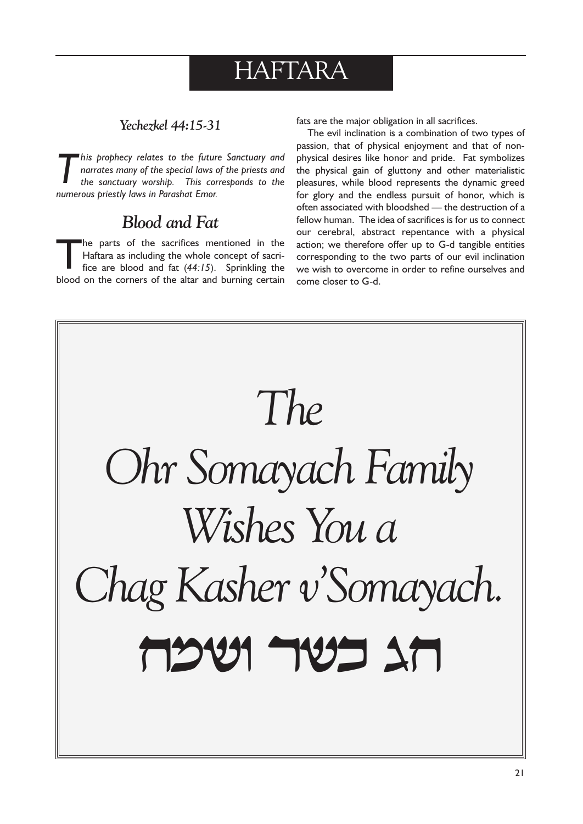# HAFTARA

### Yechezkel 44:15-31

This prophecy relates to the future Sanctuary and narrates many of the special laws of the priests and the sanctuary worship. This corresponds to the numerous priestly laws in Parashat Emor.

# Blood and Fat

The parts of the sacrifices mentioned in the<br>Haftara as including the whole concept of sacri-<br>fice are blood and fat (44:15). Sprinkling the Haftara as including the whole concept of sacriblood on the corners of the altar and burning certain fats are the major obligation in all sacrifices.

The evil inclination is a combination of two types of passion, that of physical enjoyment and that of nonphysical desires like honor and pride. Fat symbolizes the physical gain of gluttony and other materialistic pleasures, while blood represents the dynamic greed for glory and the endless pursuit of honor, which is often associated with bloodshed - the destruction of a fellow human. The idea of sacrifices is for us to connect our cerebral, abstract repentance with a physical action; we therefore offer up to G-d tangible entities corresponding to the two parts of our evil inclination we wish to overcome in order to refine ourselves and come closer to G-d.

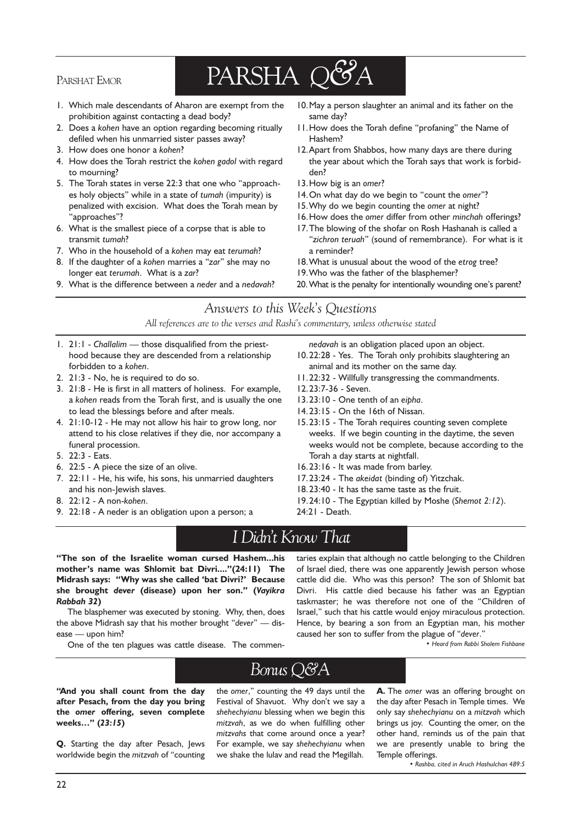### PARSHAT EMOR

# PARSHA Q&A

- 1. Which male descendants of Aharon are exempt from the prohibition against contacting a dead body?
- 2. Does a kohen have an option regarding becoming ritually defiled when his unmarried sister passes away?
- 3. How does one honor a kohen?
- 4. How does the Torah restrict the kohen gadol with regard to mourning?
- 5. The Torah states in verse 22:3 that one who "approaches holy objects" while in a state of tumah (impurity) is penalized with excision. What does the Torah mean by "approaches"?
- 6. What is the smallest piece of a corpse that is able to transmit tumah?
- 7. Who in the household of a kohen may eat terumah?
- 8. If the daughter of a kohen marries a "zar" she may no longer eat terumah. What is a zar?
- 9. What is the difference between a neder and a nedavah?
- 10.May a person slaughter an animal and its father on the same day?
- 11. How does the Torah define "profaning" the Name of Hashem?
- 12.Apart from Shabbos, how many days are there during the year about which the Torah says that work is forbidden?
- 13.How big is an omer?
- 14. On what day do we begin to "count the omer"?
- 15.Why do we begin counting the omer at night?
- 16.How does the omer differ from other minchah offerings?
- 17.The blowing of the shofar on Rosh Hashanah is called a "zichron teruah" (sound of remembrance). For what is it a reminder?
- 18.What is unusual about the wood of the etrog tree?
- 19.Who was the father of the blasphemer?
- 20. What is the penalty for intentionally wounding one's parent?

Answers to this Week's Questions

All references are to the verses and Rashi's commentary, unless otherwise stated

- 1. 21:1 Challalim those disqualified from the priesthood because they are descended from a relationship forbidden to a kohen.
- 2. 21:3 No, he is required to do so.
- 3. 21:8 He is first in all matters of holiness. For example, a kohen reads from the Torah first, and is usually the one to lead the blessings before and after meals.
- 4. 21:10-12 He may not allow his hair to grow long, nor attend to his close relatives if they die, nor accompany a funeral procession.
- 5. 22:3 Eats.
- 6. 22:5 A piece the size of an olive.
- 7. 22:11 He, his wife, his sons, his unmarried daughters and his non-Jewish slaves.
- 8. 22:12 A non-kohen.
- 9. 22:18 A neder is an obligation upon a person; a
- nedavah is an obligation placed upon an object.
- 10.22:28 Yes. The Torah only prohibits slaughtering an animal and its mother on the same day.
- 11.22:32 Willfully transgressing the commandments.
- 12.23:7-36 Seven.
- 13.23:10 One tenth of an eipha.
- 14.23:15 On the 16th of Nissan.
- 15.23:15 The Torah requires counting seven complete weeks. If we begin counting in the daytime, the seven weeks would not be complete, because according to the Torah a day starts at nightfall.
- 16.23:16 It was made from barley.
- 17.23:24 The akeidat (binding of) Yitzchak.
- 18.23:40 It has the same taste as the fruit.
- 19.24:10 The Egyptian killed by Moshe (Shemot 2:12).
- 24:21 Death.

# I Didnt Know That

The son of the Israelite woman cursed Hashem...his mother's name was Shlomit bat Divri...."(24:11) The Midrash says: "Why was she called 'bat Divri?' Because she brought dever (disease) upon her son." (Vayikra Rabbah 32)

The blasphemer was executed by stoning. Why, then, does the above Midrash say that his mother brought "dever"  $-$  disease - upon him?

One of the ten plagues was cattle disease. The commen-

taries explain that although no cattle belonging to the Children of Israel died, there was one apparently lewish person whose cattle did die. Who was this person? The son of Shlomit bat Divri. His cattle died because his father was an Egyptian taskmaster; he was therefore not one of the "Children of Israel," such that his cattle would enjoy miraculous protection. Hence, by bearing a son from an Egyptian man, his mother caused her son to suffer from the plague of "dever."

Heard from Rabbi Sholem Fishbane

# Bonus Q&A

"And you shall count from the day after Pesach, from the day you bring the omer offering, seven complete weeks..." (23:15)

Q. Starting the day after Pesach, Jews worldwide begin the mitzvah of "counting the omer," counting the 49 days until the Festival of Shavuot. Why don't we say a shehechyianu blessing when we begin this mitzvah, as we do when fulfilling other mitzvahs that come around once a year? For example, we say shehechyianu when we shake the lulav and read the Megillah.

A. The omer was an offering brought on the day after Pesach in Temple times. We only say shehechyianu on a mitzvah which brings us joy. Counting the omer, on the other hand, reminds us of the pain that we are presently unable to bring the Temple offerings.

• Rashba, cited in Aruch Hashulchan 489:5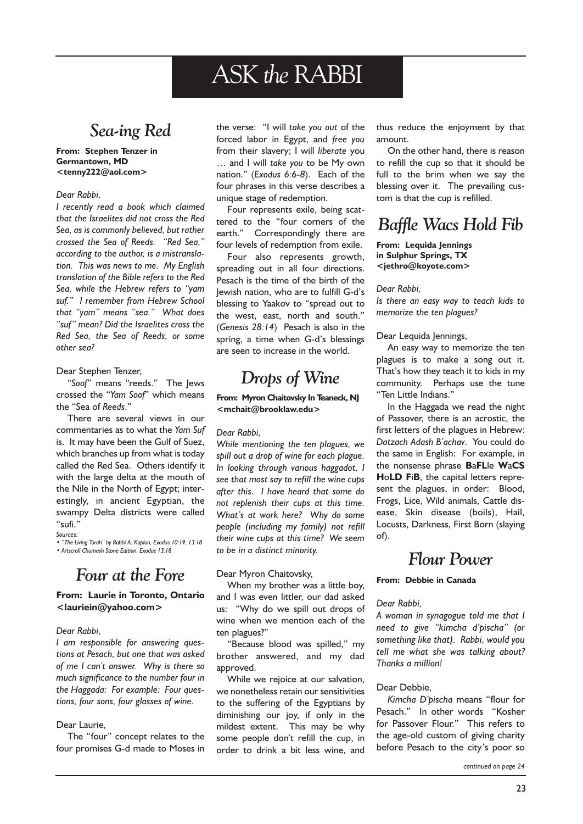# ASK the RABBI

# Sea-ing Red

#### From: Stephen Tenzer in Germantown, MD <tenny222@aol.com>

#### Dear Rabbi,

I recently read a book which claimed that the Israelites did not cross the Red Sea, as is commonly believed, but rather crossed the Sea of Reeds. "Red Sea," according to the author, is a mistranslation. This was news to me. My English translation of the Bible refers to the Red Sea, while the Hebrew refers to "yam suf." I remember from Hebrew School that "yam" means "sea." What does "suf" mean? Did the Israelites cross the Red Sea, the Sea of Reeds, or some other sea?

#### Dear Stephen Tenzer,

"Soof" means "reeds." The Jews crossed the "Yam Soof" which means the "Sea of Reeds."

There are several views in our commentaries as to what the Yam Suf is. It may have been the Gulf of Suez, which branches up from what is today called the Red Sea. Others identify it with the large delta at the mouth of the Nile in the North of Egypt; interestingly, in ancient Egyptian, the swampy Delta districts were called "sufi."

Sources:

• "The Living Torah" by Rabbi A. Kaplan, Exodus 10:19, 13:18 Artscroll Chumash Stone Edition, Exodus 13:18

# Four at the Fore

#### From: Laurie in Toronto, Ontario <lauriein@yahoo.com>

#### Dear Rabbi,

I am responsible for answering questions at Pesach, but one that was asked of me I can't answer. Why is there so much significance to the number four in the Haggada: For example: Four questions, four sons, four glasses of wine.

#### Dear Laurie,

The "four" concept relates to the four promises G-d made to Moses in

the verse: "I will take you out of the forced labor in Egypt, and free you from their slavery; I will liberate you ... and I will take you to be My own nation." (Exodus 6:6-8). Each of the four phrases in this verse describes a unique stage of redemption.

Four represents exile, being scattered to the "four corners of the earth." Correspondingly there are four levels of redemption from exile.

Four also represents growth, spreading out in all four directions. Pesach is the time of the birth of the lewish nation, who are to fulfill G-d's blessing to Yaakov to "spread out to the west, east, north and south. (Genesis 28:14) Pesach is also in the spring, a time when G-d's blessings are seen to increase in the world.

# Drops of Wine

#### From: Myron Chaitovsky In Teaneck, NJ <mchait@brooklaw.edu>

#### Dear Rabbi,

While mentioning the ten plagues, we spill out a drop of wine for each plague. In looking through various haggadot, I see that most say to refill the wine cups after this. I have heard that some do not replenish their cups at this time. What's at work here? Why do some people (including my family) not refill their wine cups at this time? We seem to be in a distinct minority.

#### Dear Myron Chaitovsky,

When my brother was a little boy, and I was even littler, our dad asked us: Why do we spill out drops of wine when we mention each of the ten plagues?

"Because blood was spilled," my brother answered, and my dad approved.

While we rejoice at our salvation, we nonetheless retain our sensitivities to the suffering of the Egyptians by diminishing our joy, if only in the mildest extent. This may be why some people don't refill the cup, in order to drink a bit less wine, and thus reduce the enjoyment by that amount.

On the other hand, there is reason to refill the cup so that it should be full to the brim when we say the blessing over it. The prevailing custom is that the cup is refilled.

### Baffle Wacs Hold Fib

#### From: Lequida Jennings in Sulphur Springs, TX <jethro@koyote.com>

#### Dear Rabbi,

Is there an easy way to teach kids to memorize the ten plagues?

#### Dear Lequida Jennings,

An easy way to memorize the ten plagues is to make a song out it. That's how they teach it to kids in my community. Perhaps use the tune "Ten Little Indians."

In the Haggada we read the night of Passover, there is an acrostic, the first letters of the plagues in Hebrew: Datzach Adash B'achay. You could do the same in English: For example, in the nonsense phrase BaFLle WaCS HoLD FiB, the capital letters represent the plagues, in order: Blood, Frogs, Lice, Wild animals, Cattle disease, Skin disease (boils), Hail, Locusts, Darkness, First Born (slaying of).

### Flour Power

#### From: Debbie in Canada

#### Dear Rabbi,

A woman in synagogue told me that I need to give "kimcha d'pischa" (or something like that). Rabbi, would you tell me what she was talking about? Thanks a million!

#### Dear Debbie,

Kimcha D'pischa means "flour for Pesach." In other words "Kosher for Passover Flour." This refers to the age-old custom of giving charity before Pesach to the city's poor so